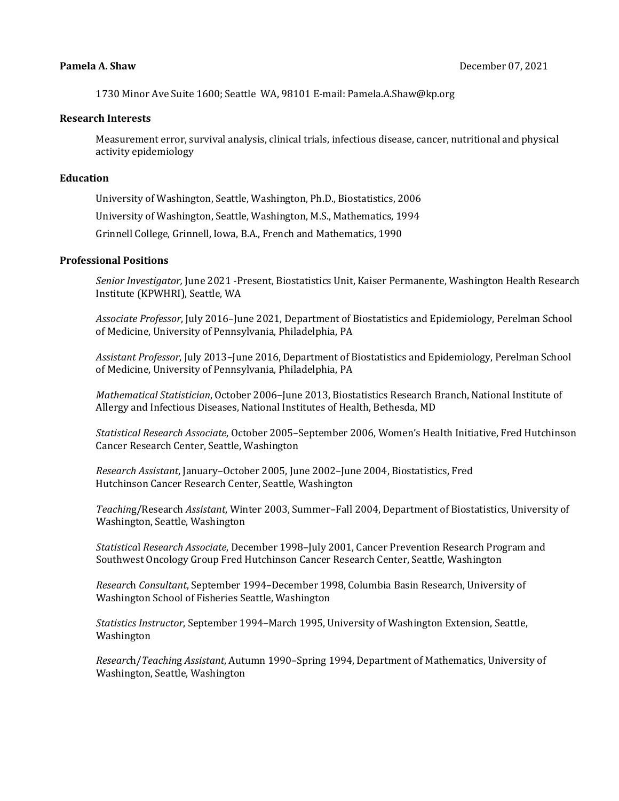1730 Minor Ave Suite 1600; Seattle WA, 98101 E-mail: Pamela.A.Shaw@kp.org

## **Research Interests**

Measurement error, survival analysis, clinical trials, infectious disease, cancer, nutritional and physical activity epidemiology

## **Education**

University of Washington, Seattle, Washington, Ph.D., Biostatistics, 2006

University of Washington, Seattle, Washington, M.S., Mathematics, 1994

Grinnell College, Grinnell, Iowa, B.A., French and Mathematics, 1990

## **Professional Positions**

*Senior Investigator,* June 2021 -Present, Biostatistics Unit, Kaiser Permanente, Washington Health Research Institute (KPWHRI), Seattle, WA

*Associate Professor*, July 2016–June 2021, Department of Biostatistics and Epidemiology, Perelman School of Medicine, University of Pennsylvania, Philadelphia, PA

*Assistant Professor*, July 2013–June 2016, Department of Biostatistics and Epidemiology, Perelman School of Medicine, University of Pennsylvania, Philadelphia, PA

*Mathematical Statistician*, October 2006–June 2013, Biostatistics Research Branch, National Institute of Allergy and Infectious Diseases, National Institutes of Health, Bethesda, MD

*Statistical Research Associate*, October 2005–September 2006, Women's Health Initiative, Fred Hutchinson Cancer Research Center, Seattle, Washington

*Research Assistant*, January–October 2005, June 2002–June 2004, Biostatistics, Fred Hutchinson Cancer Research Center, Seattle, Washington

*Teachin*g/Research *Assistant*, Winter 2003, Summer–Fall 2004, Department of Biostatistics, University of Washington, Seattle, Washington

*Statistica*l *Research Associate*, December 1998–July 2001, Cancer Prevention Research Program and Southwest Oncology Group Fred Hutchinson Cancer Research Center, Seattle, Washington

*Researc*h *Consultant*, September 1994–December 1998, Columbia Basin Research, University of Washington School of Fisheries Seattle, Washington

*Statistics Instructor*, September 1994–March 1995, University of Washington Extension, Seattle, Washington

*Researc*h/*Teachin*g *Assistant*, Autumn 1990–Spring 1994, Department of Mathematics, University of Washington, Seattle, Washington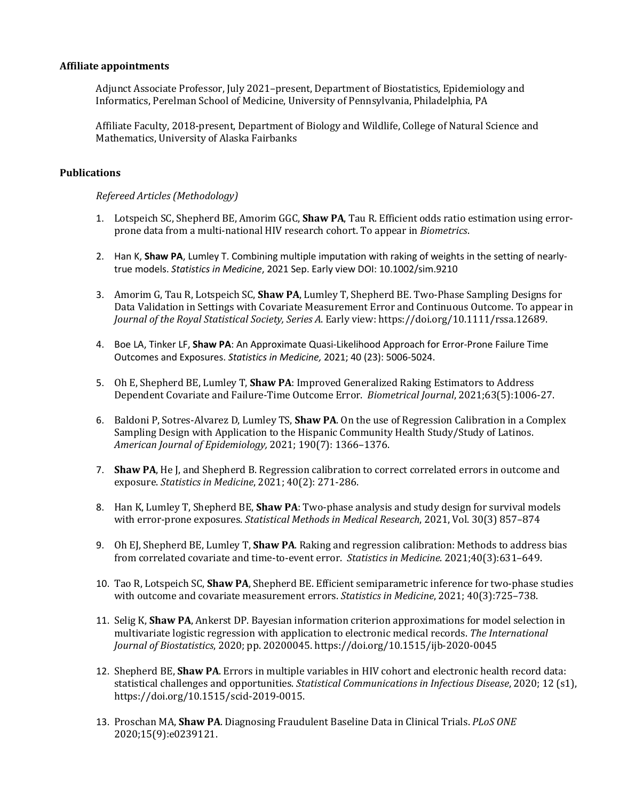## **Affiliate appointments**

Adjunct Associate Professor, July 2021–present, Department of Biostatistics, Epidemiology and Informatics, Perelman School of Medicine, University of Pennsylvania, Philadelphia, PA

Affiliate Faculty, 2018-present, Department of Biology and Wildlife, College of Natural Science and Mathematics, University of Alaska Fairbanks

## **Publications**

## *Refereed Articles (Methodology)*

- 1. Lotspeich SC, Shepherd BE, Amorim GGC, **Shaw PA**, Tau R. Efficient odds ratio estimation using errorprone data from a multi-national HIV research cohort. To appear in *Biometrics*.
- 2. Han K, **Shaw PA**, Lumley T. Combining multiple imputation with raking of weights in the setting of nearlytrue models. *Statistics in Medicine*, 2021 Sep. Early view DOI: 10.1002/sim.9210
- 3. Amorim G, Tau R, Lotspeich SC, **Shaw PA**, Lumley T, Shepherd BE. Two-Phase Sampling Designs for Data Validation in Settings with Covariate Measurement Error and Continuous Outcome. To appear in *Journal of the Royal Statistical Society, Series A*. Early view: https://doi.org/10.1111/rssa.12689.
- 4. Boe LA, Tinker LF, **Shaw PA**: An Approximate Quasi-Likelihood Approach for Error-Prone Failure Time Outcomes and Exposures. *Statistics in Medicine,* 2021; 40 (23): 5006-5024.
- 5. Oh E, Shepherd BE, Lumley T, **Shaw PA**: Improved Generalized Raking Estimators to Address Dependent Covariate and Failure-Time Outcome Error. *Biometrical Journal*, 2021;63(5):1006-27.
- 6. Baldoni P, Sotres-Alvarez D, Lumley TS, **Shaw PA**. On the use of Regression Calibration in a Complex Sampling Design with Application to the Hispanic Community Health Study/Study of Latinos. *American Journal of Epidemiology,* 2021; 190(7): 1366–1376.
- 7. **Shaw PA**, He J, and Shepherd B. Regression calibration to correct correlated errors in outcome and exposure. *Statistics in Medicine*, 2021; 40(2): 271-286.
- 8. Han K, Lumley T, Shepherd BE, **Shaw PA**: Two-phase analysis and study design for survival models with error-prone exposures. *Statistical Methods in Medical Research*, 2021, Vol. 30(3) 857–874
- 9. Oh EJ, Shepherd BE, Lumley T, **Shaw PA**. Raking and regression calibration: Methods to address bias from correlated covariate and time-to-event error. *Statistics in Medicine*. 2021;40(3):631–649.
- 10. Tao R, Lotspeich SC, **Shaw PA**, Shepherd BE. Efficient semiparametric inference for two-phase studies with outcome and covariate measurement errors. *Statistics in Medicine*, 2021; 40(3):725–738.
- 11. Selig K, **Shaw PA**, Ankerst DP. Bayesian information criterion approximations for model selection in multivariate logistic regression with application to electronic medical records. *The International Journal of Biostatistics*, 2020; pp. 20200045. https://doi.org/10.1515/ijb-2020-0045
- 12. Shepherd BE, **Shaw PA**. Errors in multiple variables in HIV cohort and electronic health record data: statistical challenges and opportunities. *Statistical Communications in Infectious Disease*, 2020; 12 (s1), https://doi.org/10.1515/scid-2019-0015.
- 13. Proschan MA, **Shaw PA**. Diagnosing Fraudulent Baseline Data in Clinical Trials. *PLoS ONE* 2020;15(9):e0239121.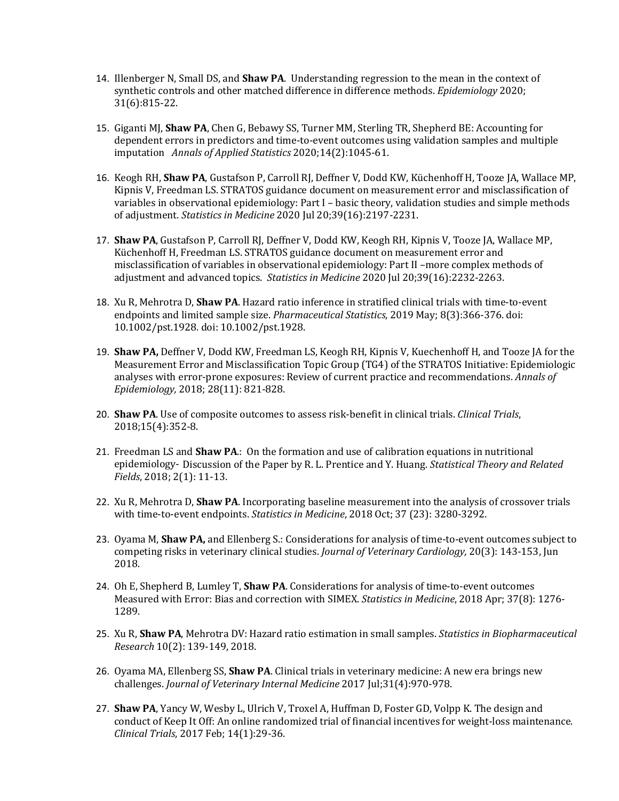- 14. Illenberger N, Small DS, and **Shaw PA**. Understanding regression to the mean in the context of synthetic controls and other matched difference in difference methods. *Epidemiology* 2020; 31(6):815-22.
- 15. Giganti MJ, **Shaw PA**, Chen G, Bebawy SS, Turner MM, Sterling TR, Shepherd BE: Accounting for dependent errors in predictors and time-to-event outcomes using validation samples and multiple imputation *Annals of Applied Statistics* 2020;14(2):1045-61.
- 16. Keogh RH, **Shaw PA**, Gustafson P, Carroll RJ, Deffner V, Dodd KW, Küchenhoff H, Tooze JA, Wallace MP, Kipnis V, Freedman LS. STRATOS guidance document on measurement error and misclassification of variables in observational epidemiology: Part I – basic theory, validation studies and simple methods of adjustment. *Statistics in Medicine* 2020 Jul 20;39(16):2197-2231.
- 17. **Shaw PA**, Gustafson P, Carroll RJ, Deffner V, Dodd KW, Keogh RH, Kipnis V, Tooze JA, Wallace MP, Küchenhoff H, Freedman LS. STRATOS guidance document on measurement error and misclassification of variables in observational epidemiology: Part II –more complex methods of adjustment and advanced topics. *Statistics in Medicine* 2020 Jul 20;39(16):2232-2263.
- 18. Xu R, Mehrotra D, **Shaw PA**. Hazard ratio inference in stratified clinical trials with time-to-event endpoints and limited sample size. *Pharmaceutical Statistics*, 2019 May; 8(3):366-376. doi: 10.1002/pst.1928. doi: 10.1002/pst.1928.
- 19. **Shaw PA,** Deffner V, Dodd KW, Freedman LS, Keogh RH, Kipnis V, Kuechenhoff H, and Tooze JA for the Measurement Error and Misclassification Topic Group (TG4) of the STRATOS Initiative: Epidemiologic analyses with error-prone exposures: Review of current practice and recommendations. *Annals of Epidemiology,* 2018; 28(11): 821-828.
- 20. **Shaw PA**. Use of composite outcomes to assess risk-benefit in clinical trials. *Clinical Trials*, 2018;15(4):352-8.
- 21. Freedman LS and **Shaw PA**.: On the formation and use of calibration equations in nutritional epidemiology- Discussion of the Paper by R. L. Prentice and Y. Huang. *Statistical Theory and Related Fields*, 2018; 2(1): 11-13.
- 22. Xu R, Mehrotra D, **Shaw PA**. Incorporating baseline measurement into the analysis of crossover trials with time-to-event endpoints. *Statistics in Medicine*, 2018 Oct; 37 (23): 3280-3292.
- 23. Oyama M, **Shaw PA,** and Ellenberg S.: Considerations for analysis of time-to-event outcomes subject to competing risks in veterinary clinical studies. *Journal of Veterinary Cardiology,* 20(3): 143-153, Jun 2018.
- 24. Oh E, Shepherd B, Lumley T, **Shaw PA**. Considerations for analysis of time-to-event outcomes Measured with Error: Bias and correction with SIMEX. *Statistics in Medicine*, 2018 Apr; 37(8): 1276- 1289.
- 25. Xu R, **Shaw PA**, Mehrotra DV: Hazard ratio estimation in small samples. *Statistics in Biopharmaceutical Research* 10(2): 139-149, 2018.
- 26. Oyama MA, Ellenberg SS, **Shaw PA**. Clinical trials in veterinary medicine: A new era brings new challenges. *Journal of Veterinary Internal Medicine* 2017 Jul;31(4):970-978.
- 27. **Shaw PA**, Yancy W, Wesby L, Ulrich V, Troxel A, Huffman D, Foster GD, Volpp K. The design and conduct of Keep It Off: An online randomized trial of financial incentives for weight-loss maintenance. *Clinical Trials*, 2017 Feb; 14(1):29-36.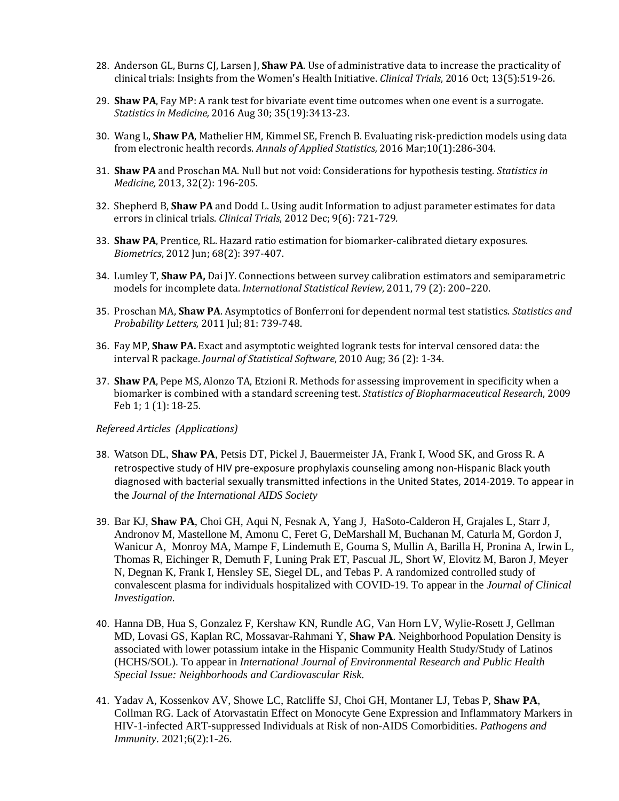- 28. Anderson GL, Burns CJ, Larsen J, **Shaw PA**. Use of administrative data to increase the practicality of clinical trials: Insights from the Women's Health Initiative. *Clinical Trials*, 2016 Oct; 13(5):519-26.
- 29. **Shaw PA**, Fay MP: A rank test for bivariate event time outcomes when one event is a surrogate. *Statistics in Medicine,* 2016 Aug 30; 35(19):3413-23.
- 30. Wang L, **Shaw PA**, Mathelier HM, Kimmel SE, French B. Evaluating risk-prediction models using data from electronic health records. *Annals of Applied Statistics,* 2016 Mar;10(1):286-304.
- 31. **Shaw PA** and Proschan MA. Null but not void: Considerations for hypothesis testing. *Statistics in Medicine,* 2013, 32(2): 196-205.
- 32. Shepherd B, **Shaw PA** and Dodd L. Using audit Information to adjust parameter estimates for data errors in clinical trials. *Clinical Trials*, 2012 Dec; 9(6): 721-729*.*
- 33. **Shaw PA**, Prentice, RL. Hazard ratio estimation for biomarker-calibrated dietary exposures. *Biometrics*, 2012 Jun; 68(2): 397-407.
- 34. Lumley T, **Shaw PA,** Dai JY. Connections between survey calibration estimators and semiparametric models for incomplete data. *International Statistical Review*, 2011, 79 (2): 200–220.
- 35. Proschan MA, **Shaw PA**. Asymptotics of Bonferroni for dependent normal test statistics. *Statistics and Probability Letters,* 2011 Jul; 81: 739-748.
- 36. Fay MP, **Shaw PA.** Exact and asymptotic weighted logrank tests for interval censored data: the interval R package. *Journal of Statistical Software*, 2010 Aug; 36 (2): 1-34.
- 37. **Shaw PA**, Pepe MS, Alonzo TA, Etzioni R. Methods for assessing improvement in specificity when a biomarker is combined with a standard screening test. *Statistics of Biopharmaceutical Research*, 2009 Feb 1; 1 (1): 18-25.

## *Refereed Articles (Applications)*

- 38. Watson DL, **Shaw PA**, Petsis DT, Pickel J, Bauermeister JA, Frank I, Wood SK, and Gross R. A retrospective study of HIV pre-exposure prophylaxis counseling among non-Hispanic Black youth diagnosed with bacterial sexually transmitted infections in the United States, 2014-2019. To appear in the *Journal of the International AIDS Society*
- 39. Bar KJ, **Shaw PA**, Choi GH, Aqui N, Fesnak A, Yang J, HaSoto-Calderon H, Grajales L, Starr J, Andronov M, Mastellone M, Amonu C, Feret G, DeMarshall M, Buchanan M, Caturla M, Gordon J, Wanicur A, Monroy MA, Mampe F, Lindemuth E, Gouma S, Mullin A, Barilla H, Pronina A, Irwin L, Thomas R, Eichinger R, Demuth F, Luning Prak ET, Pascual JL, Short W, Elovitz M, Baron J, Meyer N, Degnan K, Frank I, Hensley SE, Siegel DL, and Tebas P. A randomized controlled study of convalescent plasma for individuals hospitalized with COVID-19. To appear in the *Journal of Clinical Investigation.*
- 40. Hanna DB, Hua S, Gonzalez F, Kershaw KN, Rundle AG, Van Horn LV, Wylie-Rosett J, Gellman MD, Lovasi GS, Kaplan RC, Mossavar-Rahmani Y, **Shaw PA**. Neighborhood Population Density is associated with lower potassium intake in the Hispanic Community Health Study/Study of Latinos (HCHS/SOL). To appear in *International Journal of Environmental Research and Public Health Special Issue: Neighborhoods and Cardiovascular Risk*.
- 41. Yadav A, Kossenkov AV, Showe LC, Ratcliffe SJ, Choi GH, Montaner LJ, Tebas P, **Shaw PA**, Collman RG. Lack of Atorvastatin Effect on Monocyte Gene Expression and Inflammatory Markers in HIV-1-infected ART-suppressed Individuals at Risk of non-AIDS Comorbidities. *Pathogens and Immunity*. 2021;6(2):1-26.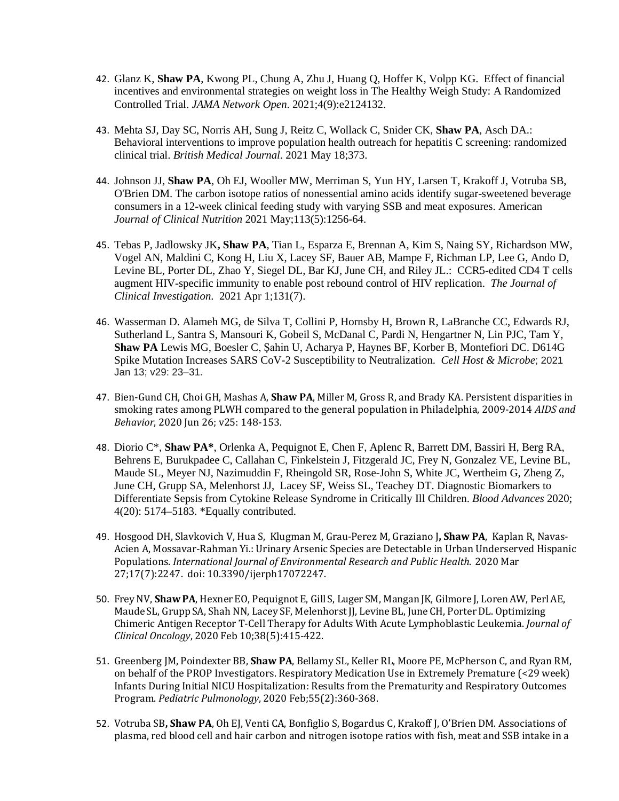- 42. Glanz K, **Shaw PA**, Kwong PL, Chung A, Zhu J, Huang Q, Hoffer K, Volpp KG. Effect of financial incentives and environmental strategies on weight loss in The Healthy Weigh Study: A Randomized Controlled Trial. *JAMA Network Open*. 2021;4(9):e2124132.
- 43. Mehta SJ, Day SC, Norris AH, Sung J, Reitz C, Wollack C, Snider CK, **Shaw PA**, Asch DA.: Behavioral interventions to improve population health outreach for hepatitis C screening: randomized clinical trial. *British Medical Journal*. 2021 May 18;373.
- 44. Johnson JJ, **Shaw PA**, Oh EJ, Wooller MW, Merriman S, Yun HY, Larsen T, Krakoff J, Votruba SB, O'Brien DM. The carbon isotope ratios of nonessential amino acids identify sugar-sweetened beverage consumers in a 12-week clinical feeding study with varying SSB and meat exposures. American *Journal of Clinical Nutrition* 2021 May;113(5):1256-64.
- 45. Tebas P, Jadlowsky JK**, Shaw PA**, Tian L, Esparza E, Brennan A, Kim S, Naing SY, Richardson MW, Vogel AN, Maldini C, Kong H, Liu X, Lacey SF, Bauer AB, Mampe F, Richman LP, Lee G, Ando D, Levine BL, Porter DL, Zhao Y, Siegel DL, Bar KJ, June CH, and Riley JL.: CCR5-edited CD4 T cells augment HIV-specific immunity to enable post rebound control of HIV replication. *The Journal of Clinical Investigation*. 2021 Apr 1;131(7).
- 46. Wasserman D. Alameh MG, de Silva T, Collini P, Hornsby H, Brown R, LaBranche CC, Edwards RJ, Sutherland L, Santra S, Mansouri K, Gobeil S, McDanal C, Pardi N, Hengartner N, Lin PJC, Tam Y, **Shaw PA** Lewis MG, Boesler C, Şahin U, Acharya P, Haynes BF, Korber B, Montefiori DC. D614G Spike Mutation Increases SARS CoV-2 Susceptibility to Neutralization. *Cell Host & Microbe*; 2021 Jan 13; v29: 23–31.
- 47. Bien-Gund CH, Choi GH, Mashas A, **Shaw PA**, Miller M, Gross R, and Brady KA. Persistent disparities in smoking rates among PLWH compared to the general population in Philadelphia, 2009-2014 *AIDS and Behavior*, 2020 Jun 26; v25: 148-153.
- 48. Diorio C\*, **Shaw PA\***, Orlenka A, Pequignot E, Chen F, Aplenc R, Barrett DM, Bassiri H, Berg RA, Behrens E, Burukpadee C, Callahan C, Finkelstein J, Fitzgerald JC, Frey N, Gonzalez VE, Levine BL, Maude SL, Meyer NJ, Nazimuddin F, Rheingold SR, Rose-John S, White JC, Wertheim G, Zheng Z, June CH, Grupp SA, Melenhorst JJ, Lacey SF, Weiss SL, Teachey DT. Diagnostic Biomarkers to Differentiate Sepsis from Cytokine Release Syndrome in Critically Ill Children. *Blood Advances* 2020; 4(20): 5174–5183. \*Equally contributed.
- 49. Hosgood DH, Slavkovich V, Hua S, Klugman M, Grau-Perez M, Graziano J**, Shaw PA**, Kaplan R, Navas-Acien A, Mossavar-Rahman Yi.: Urinary Arsenic Species are Detectable in Urban Underserved Hispanic Populations. *International Journal of Environmental Research and Public Health*. 2020 Mar 27;17(7):2247. doi: 10.3390/ijerph17072247.
- 50. FreyNV, **ShawPA**, HexnerEO, PequignotE, Gill S, Luger SM, Mangan JK, Gilmore J, LorenAW, PerlAE, Maude SL, Grupp SA, Shah NN, Lacey SF, Melenhorst JJ, Levine BL, June CH, Porter DL. Optimizing Chimeric Antigen Receptor T-Cell Therapy for Adults With Acute Lymphoblastic Leukemia. *Journal of Clinical Oncology*, 2020 Feb 10;38(5):415-422.
- 51. Greenberg JM, Poindexter BB, **Shaw PA**, Bellamy SL, Keller RL, Moore PE, McPherson C, and Ryan RM, on behalf of the PROP Investigators. Respiratory Medication Use in Extremely Premature (<29 week) Infants During Initial NICU Hospitalization: Results from the Prematurity and Respiratory Outcomes Program. *Pediatric Pulmonology*, 2020 Feb;55(2):360-368.
- 52. Votruba SB**, Shaw PA**, Oh EJ, Venti CA, Bonfiglio S, Bogardus C, Krakoff J, O'Brien DM. Associations of plasma, red blood cell and hair carbon and nitrogen isotope ratios with fish, meat and SSB intake in a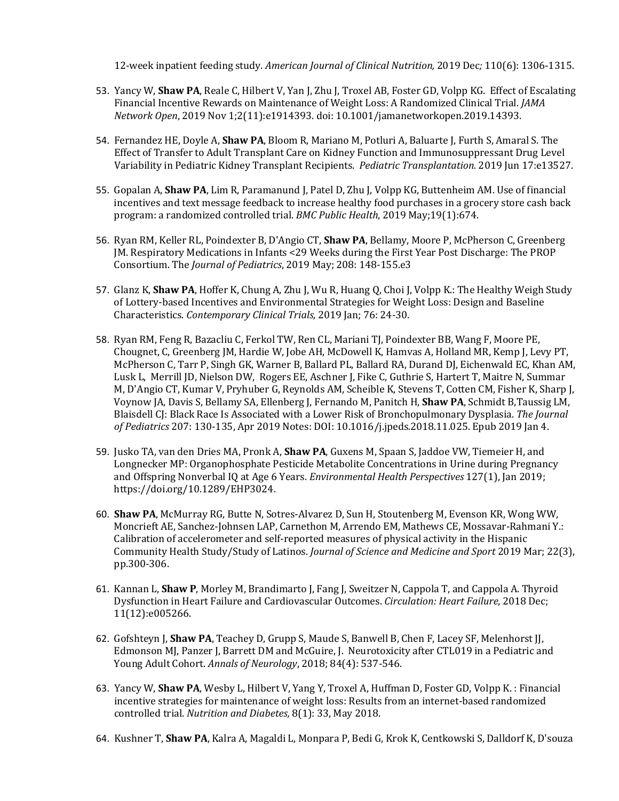12-week inpatient feeding study. *American Journal of Clinical Nutrition,* 2019 Dec*;* 110(6): 1306-1315.

- 53. Yancy W, **Shaw PA**, Reale C, Hilbert V, Yan J, Zhu J, Troxel AB, Foster GD, Volpp KG. Effect of Escalating Financial Incentive Rewards on Maintenance of Weight Loss: A Randomized Clinical Trial. *JAMA Network Open*, 2019 Nov 1;2(11):e1914393. doi: 10.1001/jamanetworkopen.2019.14393.
- 54. Fernandez HE, Doyle A, **Shaw PA**, Bloom R, Mariano M, Potluri A, Baluarte J, Furth S, Amaral S. The Effect of Transfer to Adult Transplant Care on Kidney Function and Immunosuppressant Drug Level Variability in Pediatric Kidney Transplant Recipients. *Pediatric Transplantation.* 2019 Jun 17:e13527.
- 55. Gopalan A, **Shaw PA**, Lim R, Paramanund J, Patel D, Zhu J, Volpp KG, Buttenheim AM. Use of financial incentives and text message feedback to increase healthy food purchases in a grocery store cash back program: a randomized controlled trial. *BMC Public Health*, 2019 May;19(1):674.
- 56. Ryan RM, Keller RL, Poindexter B, D'Angio CT, **Shaw PA**, Bellamy, Moore P, McPherson C, Greenberg JM. Respiratory Medications in Infants <29 Weeks during the First Year Post Discharge: The PROP Consortium. The *Journal of Pediatrics*, 2019 May; 208: 148-155.e3
- 57. Glanz K, **Shaw PA**, Hoffer K, Chung A, Zhu J, Wu R, Huang Q, Choi J, Volpp K.: The Healthy Weigh Study of Lottery-based Incentives and Environmental Strategies for Weight Loss: Design and Baseline Characteristics. *Contemporary Clinical Trials,* 2019 Jan; 76: 24-30.
- 58. Ryan RM, Feng R, Bazacliu C, Ferkol TW, Ren CL, Mariani TJ, Poindexter BB, Wang F, Moore PE, Chougnet, C, Greenberg JM, Hardie W, Jobe AH, McDowell K, Hamvas A, Holland MR, Kemp J, Levy PT, McPherson C, Tarr P, Singh GK, Warner B, Ballard PL, Ballard RA, Durand DJ, Eichenwald EC, Khan AM, Lusk L, Merrill JD, Nielson DW, Rogers EE, Aschner J, Fike C, Guthrie S, Hartert T, Maitre N, Summar M, D'Angio CT, Kumar V, Pryhuber G, Reynolds AM, Scheible K, Stevens T, Cotten CM, Fisher K, Sharp J, Voynow JA, Davis S, Bellamy SA, Ellenberg J, Fernando M, Panitch H, **Shaw PA**, Schmidt B,Taussig LM, Blaisdell CJ: Black Race Is Associated with a Lower Risk of Bronchopulmonary Dysplasia. *The Journal of Pediatrics* 207: 130-135, Apr 2019 Notes: DOI: 10.1016/j.jpeds.2018.11.025. Epub 2019 Jan 4.
- 59. Jusko TA, van den Dries MA, Pronk A, **Shaw PA**, Guxens M, Spaan S, Jaddoe VW, Tiemeier H, and Longnecker MP: Organophosphate Pesticide Metabolite Concentrations in Urine during Pregnancy and Offspring Nonverbal IQ at Age 6 Years. *Environmental Health Perspectives* 127(1), Jan 2019; https://doi.org/10.1289/EHP3024.
- 60. **Shaw PA**, McMurray RG, Butte N, Sotres-Alvarez D, Sun H, Stoutenberg M, Evenson KR, Wong WW, Moncrieft AE, Sanchez-Johnsen LAP, Carnethon M, Arrendo EM, Mathews CE, Mossavar-Rahmani Y.: Calibration of accelerometer and self-reported measures of physical activity in the Hispanic Community Health Study/Study of Latinos. *Journal of Science and Medicine and Sport* 2019 Mar; 22(3), pp.300-306.
- 61. Kannan L, **Shaw P**, Morley M, Brandimarto J, Fang J, Sweitzer N, Cappola T, and Cappola A. Thyroid Dysfunction in Heart Failure and Cardiovascular Outcomes. *Circulation: Heart Failure*, 2018 Dec; 11(12):e005266.
- 62. Gofshteyn J, **Shaw PA**, Teachey D, Grupp S, Maude S, Banwell B, Chen F, Lacey SF, Melenhorst JJ, Edmonson MJ, Panzer J, Barrett DM and McGuire, J. Neurotoxicity after CTL019 in a Pediatric and Young Adult Cohort. *Annals of Neurology*, 2018; 84(4): 537-546.
- 63. Yancy W, **Shaw PA**, Wesby L, Hilbert V, Yang Y, Troxel A, Huffman D, Foster GD, Volpp K. : Financial incentive strategies for maintenance of weight loss: Results from an internet-based randomized controlled trial. *Nutrition and Diabetes,* 8(1): 33, May 2018.
- 64. Kushner T, **Shaw PA**, Kalra A, Magaldi L, Monpara P, Bedi G, Krok K, Centkowski S, Dalldorf K, D'souza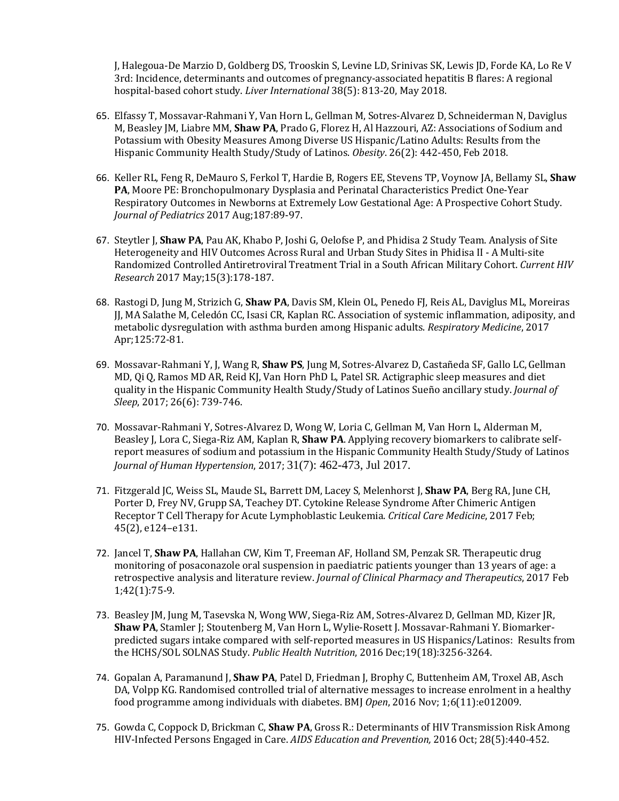J, Halegoua-De Marzio D, Goldberg DS, Trooskin S, Levine LD, Srinivas SK, Lewis JD, Forde KA, Lo Re V 3rd: Incidence, determinants and outcomes of pregnancy-associated hepatitis B flares: A regional hospital-based cohort study. *Liver International* 38(5): 813-20, May 2018.

- 65. Elfassy T, Mossavar-Rahmani Y, Van Horn L, Gellman M, Sotres-Alvarez D, Schneiderman N, Daviglus M, Beasley JM, Liabre MM, **Shaw PA**, Prado G, Florez H, Al Hazzouri, AZ: Associations of Sodium and Potassium with Obesity Measures Among Diverse US Hispanic/Latino Adults: Results from the Hispanic Community Health Study/Study of Latinos. *Obesity*. 26(2): 442-450, Feb 2018.
- 66. Keller RL, Feng R, DeMauro S, Ferkol T, Hardie B, Rogers EE, Stevens TP, Voynow JA, Bellamy SL, **Shaw PA**, Moore PE: Bronchopulmonary Dysplasia and Perinatal Characteristics Predict One-Year Respiratory Outcomes in Newborns at Extremely Low Gestational Age: A Prospective Cohort Study. *Journal of Pediatrics* 2017 Aug;187:89-97.
- 67. Steytler J, **Shaw PA**, Pau AK, Khabo P, Joshi G, Oelofse P, and Phidisa 2 Study Team. Analysis of Site Heterogeneity and HIV Outcomes Across Rural and Urban Study Sites in Phidisa II - A Multi-site Randomized Controlled Antiretroviral Treatment Trial in a South African Military Cohort. *Current HIV Research* 2017 May;15(3):178-187.
- 68. Rastogi D, Jung M, Strizich G, **Shaw PA**, Davis SM, Klein OL, Penedo FJ, Reis AL, Daviglus ML, Moreiras JJ, MA Salathe M, Celedón CC, Isasi CR, Kaplan RC. Association of systemic inflammation, adiposity, and metabolic dysregulation with asthma burden among Hispanic adults. *Respiratory Medicine*, 2017 Apr;125:72-81.
- 69. Mossavar-Rahmani Y, J, Wang R, **Shaw PS**, Jung M, Sotres-Alvarez D, Castañeda SF, Gallo LC,Gellman MD, Qi Q,Ramos MD AR, Reid KJ, Van Horn PhD L, Patel SR. Actigraphic sleep measures and diet quality in the Hispanic Community Health Study/Study of Latinos Sueño ancillary study. *Journal of Sleep*, 2017; 26(6): 739-746.
- 70. Mossavar-Rahmani Y, Sotres-Alvarez D, Wong W, Loria C, Gellman M, Van Horn L, Alderman M, Beasley J, Lora C, Siega-Riz AM, Kaplan R, **Shaw PA**. Applying recovery biomarkers to calibrate selfreport measures of sodium and potassium in the Hispanic Community Health Study/Study of Latinos *Journal of Human Hypertension*, 2017; 31(7): 462-473, Jul 2017.
- 71. Fitzgerald JC, Weiss SL, Maude SL, Barrett DM, Lacey S, Melenhorst J, **Shaw PA**, Berg RA, June CH, Porter D, Frey NV, Grupp SA, Teachey DT. Cytokine Release Syndrome After Chimeric Antigen Receptor T Cell Therapy for Acute Lymphoblastic Leukemia. *Critical Care Medicine*, 2017 Feb; 45(2), e124–e131.
- 72. Jancel T, **Shaw PA**, Hallahan CW, Kim T, Freeman AF, Holland SM, Penzak SR. Therapeutic drug monitoring of posaconazole oral suspension in paediatric patients younger than 13 years of age: a retrospective analysis and literature review. *Journal of Clinical Pharmacy and Therapeutics*, 2017 Feb 1;42(1):75-9.
- 73. Beasley JM, Jung M, Tasevska N, Wong WW, Siega-Riz AM, Sotres-Alvarez D, Gellman MD, Kizer JR, **Shaw PA**, Stamler J; Stoutenberg M, Van Horn L, Wylie-Rosett J. Mossavar-Rahmani Y. Biomarkerpredicted sugars intake compared with self-reported measures in US Hispanics/Latinos: Results from the HCHS/SOL SOLNAS Study. *Public Health Nutrition*, 2016 Dec;19(18):3256-3264.
- 74. Gopalan A, Paramanund J, **Shaw PA**, Patel D, Friedman J, Brophy C, Buttenheim AM, Troxel AB, Asch DA, Volpp KG. Randomised controlled trial of alternative messages to increase enrolment in a healthy food programme among individuals with diabetes. BMJ *Open*, 2016 Nov; 1;6(11):e012009.
- 75. Gowda C, Coppock D, Brickman C, **Shaw PA**, Gross R.: Determinants of HIV Transmission Risk Among HIV-Infected Persons Engaged in Care. *AIDS Education and Prevention,* 2016 Oct; 28(5):440-452.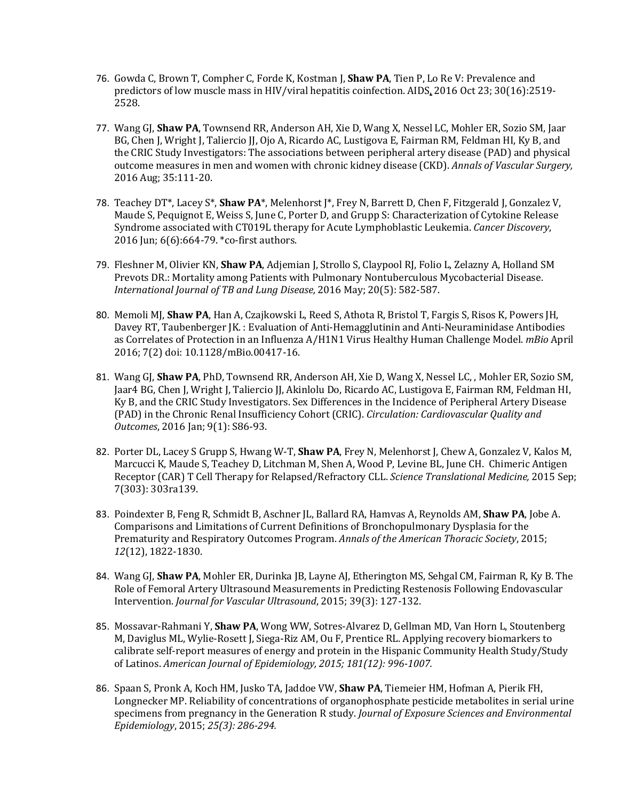- 76. Gowda C, Brown T, Compher C, Forde K, Kostman J, **Shaw PA**, Tien P, Lo Re V: Prevalence and predictors of low muscle mass in HIV/viral hepatitis coinfection. AIDS, 2016 Oct 23; 30(16):2519- 2528.
- 77. Wang GJ, **Shaw PA**, Townsend RR, Anderson AH, Xie D, Wang X, Nessel LC, Mohler ER, Sozio SM, Jaar BG, Chen J, Wright J, Taliercio JJ, Ojo A, Ricardo AC, Lustigova E, Fairman RM, Feldman HI, Ky B, and the CRIC Study Investigators: The associations between peripheral artery disease (PAD) and physical outcome measures in men and women with chronic kidney disease (CKD). *Annals of Vascular Surgery,*  2016 Aug; 35:111-20.
- 78. Teachey DT<sup>\*</sup>, Lacey S<sup>\*</sup>, Shaw PA<sup>\*</sup>, Melenhorst J<sup>\*</sup>, Frey N, Barrett D, Chen F, Fitzgerald J, Gonzalez V, Maude S, Pequignot E, Weiss S, June C, Porter D, and Grupp S: Characterization of Cytokine Release Syndrome associated with CT019L therapy for Acute Lymphoblastic Leukemia. *Cancer Discovery*, 2016 Jun; 6(6):664-79. \*co-first authors.
- 79. Fleshner M, Olivier KN, **Shaw PA**, Adjemian J, Strollo S, Claypool RJ, Folio L, Zelazny A, Holland SM Prevots DR.: Mortality among Patients with Pulmonary Nontuberculous Mycobacterial Disease. *International Journal of TB and Lung Disease,* 2016 May; 20(5): 582-587.
- 80. Memoli MJ, **Shaw PA**, Han A, Czajkowski L, Reed S, Athota R, Bristol T, Fargis S, Risos K, Powers JH, Davey RT, Taubenberger JK. : Evaluation of Anti-Hemagglutinin and Anti-Neuraminidase Antibodies as Correlates of Protection in an Influenza A/H1N1 Virus Healthy Human Challenge Model. *mBio* April 2016; 7(2) doi: 10.1128/mBio.00417-16.
- 81. Wang GJ, **Shaw PA**, PhD, Townsend RR, Anderson AH, Xie D, Wang X, Nessel LC, , Mohler ER, Sozio SM, Jaar4 BG, Chen J, Wright J, Taliercio JJ, Akinlolu Do, Ricardo AC, Lustigova E, Fairman RM, Feldman HI, Ky B, and the CRIC Study Investigators. Sex Differences in the Incidence of Peripheral Artery Disease (PAD) in the Chronic Renal Insufficiency Cohort (CRIC). *Circulation: Cardiovascular Quality and Outcomes*, 2016 Jan; 9(1): S86-93.
- 82. Porter DL, Lacey S Grupp S, Hwang W-T, **Shaw PA**, Frey N, Melenhorst J, Chew A, Gonzalez V, Kalos M, Marcucci K, Maude S, Teachey D, Litchman M, Shen A, Wood P, Levine BL, June CH. Chimeric Antigen Receptor (CAR) T Cell Therapy for Relapsed/Refractory CLL. *Science Translational Medicine,* 2015 Sep; 7(303): 303ra139.
- 83. Poindexter B, Feng R, Schmidt B, Aschner JL, Ballard RA, Hamvas A, Reynolds AM, **Shaw PA**, Jobe A. Comparisons and Limitations of Current Definitions of Bronchopulmonary Dysplasia for the Prematurity and Respiratory Outcomes Program. *Annals of the American Thoracic Society*, 2015; *12*(12), 1822-1830.
- 84. Wang GJ, **Shaw PA**, Mohler ER, Durinka JB, Layne AJ, Etherington MS, Sehgal CM, Fairman R, Ky B. The Role of Femoral Artery Ultrasound Measurements in Predicting Restenosis Following Endovascular Intervention. *Journal for Vascular Ultrasound*, 2015; 39(3): 127-132.
- 85. Mossavar-Rahmani Y, **Shaw PA**, Wong WW, Sotres-Alvarez D, Gellman MD, Van Horn L, Stoutenberg M, Daviglus ML, Wylie-Rosett J, Siega-Riz AM, Ou F, Prentice RL. Applying recovery biomarkers to calibrate self-report measures of energy and protein in the Hispanic Community Health Study/Study of Latinos. *American Journal of Epidemiology, 2015; 181(12): 996-1007.*
- 86. Spaan S, Pronk A, Koch HM, Jusko TA, Jaddoe VW, **Shaw PA**, Tiemeier HM, Hofman A, Pierik FH, Longnecker MP. Reliability of concentrations of organophosphate pesticide metabolites in serial urine specimens from pregnancy in the Generation R study. *Journal of Exposure Sciences and Environmental Epidemiology*, 2015; *25(3): 286-294.*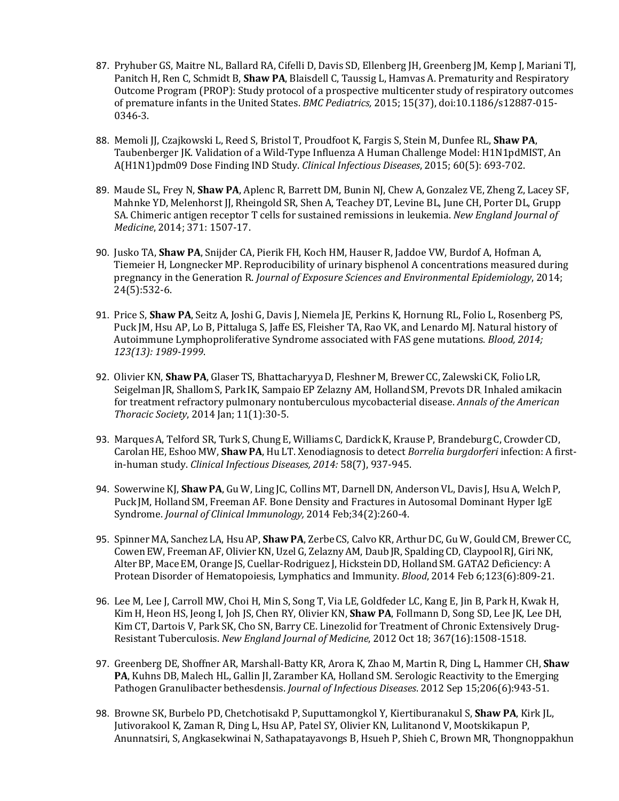- 87. Pryhuber GS, Maitre NL, Ballard RA, Cifelli D, Davis SD, Ellenberg JH, Greenberg JM, Kemp J, Mariani TJ, Panitch H, Ren C, Schmidt B, **Shaw PA**, Blaisdell C, Taussig L, Hamvas A. Prematurity and Respiratory Outcome Program (PROP): Study protocol of a prospective multicenter study of respiratory outcomes of premature infants in the United States. *BMC Pediatrics,* 2015; 15(37), doi:10.1186/s12887-015- 0346-3.
- 88. Memoli JJ, Czajkowski L, Reed S, Bristol T, Proudfoot K, Fargis S, Stein M, Dunfee RL, **Shaw PA**, Taubenberger JK. Validation of a Wild-Type Influenza A Human Challenge Model: H1N1pdMIST, An A(H1N1)pdm09 Dose Finding IND Study. *Clinical Infectious Diseases*, 2015; 60(5): 693-702.
- 89. Maude SL, Frey N, **Shaw PA**, Aplenc R, Barrett DM, Bunin NJ, Chew A, Gonzalez VE, Zheng Z, Lacey SF, Mahnke YD, Melenhorst JJ, Rheingold SR, Shen A, Teachey DT, Levine BL, June CH, Porter DL, Grupp SA. Chimeric antigen receptor T cells for sustained remissions in leukemia. *New England Journal of Medicine*, 2014; 371: 1507-17.
- 90. Jusko TA, **Shaw PA**, Snijder CA, Pierik FH, Koch HM, Hauser R, Jaddoe VW, Burdof A, Hofman A, Tiemeier H, Longnecker MP. Reproducibility of urinary bisphenol A concentrations measured during pregnancy in the Generation R. *Journal of Exposure Sciences and Environmental Epidemiology*, 2014; 24(5):532-6.
- 91. Price S, **Shaw PA**, Seitz A, Joshi G, Davis J, Niemela JE, Perkins K, Hornung RL, Folio L, Rosenberg PS, Puck JM, Hsu AP, Lo B, Pittaluga S, Jaffe ES, Fleisher TA, Rao VK, and Lenardo MJ. Natural history of Autoimmune Lymphoproliferative Syndrome associated with FAS gene mutations. *Blood, 2014; 123(13): 1989-1999*.
- 92. Olivier KN, Shaw PA, Glaser TS, Bhattacharyya D, Fleshner M, Brewer CC, Zalewski CK, Folio LR, Seigelman JR, Shallom S, Park IK, Sampaio EP Zelazny AM, Holland SM, Prevots DR. Inhaled amikacin for treatment refractory pulmonary nontuberculous mycobacterial disease. *Annals of the American Thoracic Society*, 2014 Jan; 11(1):30-5.
- 93. Marques A, Telford SR, Turk S, Chung E, Williams C, Dardick K, Krause P, Brandeburg C, Crowder CD, CarolanHE, Eshoo MW, **ShawPA**, Hu LT. Xenodiagnosis to detect *Borrelia burgdorferi* infection: A firstin-human study. *Clinical Infectious Diseases, 2014:* 58(7), 937-945.
- 94. Sowerwine KJ, Shaw PA, Gu W, Ling JC, Collins MT, Darnell DN, Anderson VL, Davis J, Hsu A, Welch P, Puck JM, HollandSM, Freeman AF. Bone Density and Fractures in Autosomal Dominant Hyper IgE Syndrome. *Journal of Clinical Immunology,* 2014 Feb;34(2):260-4.
- 95. SpinnerMA, Sanchez LA, HsuAP, **ShawPA**, ZerbeCS, CalvoKR, ArthurDC, GuW, GouldCM, BrewerCC, CowenEW, FreemanAF, OlivierKN, UzelG, ZelaznyAM, Daub JR, Spalding CD, ClaypoolRJ, GiriNK, Alter BP, Mace EM, Orange JS, Cuellar-Rodriguez J, Hickstein DD, Holland SM. GATA2 Deficiency: A Protean Disorder of Hematopoiesis, Lymphatics and Immunity. *Blood*, 2014 Feb 6;123(6):809-21.
- 96. Lee M, Lee J, Carroll MW, Choi H, Min S, Song T, Via LE, Goldfeder LC, Kang E, Jin B, Park H, Kwak H, Kim H, Heon HS, Jeong I, Joh JS, Chen RY, Olivier KN, **Shaw PA**, Follmann D, Song SD, Lee JK, Lee DH, Kim CT, Dartois V, Park SK, Cho SN, Barry CE. Linezolid for Treatment of Chronic Extensively Drug-Resistant Tuberculosis. *New England Journal of Medicine*, 2012 Oct 18; 367(16):1508-1518.
- 97. Greenberg DE, Shoffner AR, Marshall-Batty KR, Arora K, Zhao M, Martin R, Ding L, Hammer CH, **Shaw PA**, Kuhns DB, Malech HL, Gallin JI, Zaramber KA, Holland SM. Serologic Reactivity to the Emerging Pathogen Granulibacter bethesdensis. *Journal of Infectious Diseases*. 2012 Sep 15;206(6):943-51.
- 98. Browne SK, Burbelo PD, Chetchotisakd P, Suputtamongkol Y, Kiertiburanakul S, **Shaw PA**, Kirk JL, Jutivorakool K, Zaman R, Ding L, Hsu AP, Patel SY, Olivier KN, Lulitanond V, Mootskikapun P, Anunnatsiri, S, Angkasekwinai N, Sathapatayavongs B, Hsueh P, Shieh C, Brown MR, Thongnoppakhun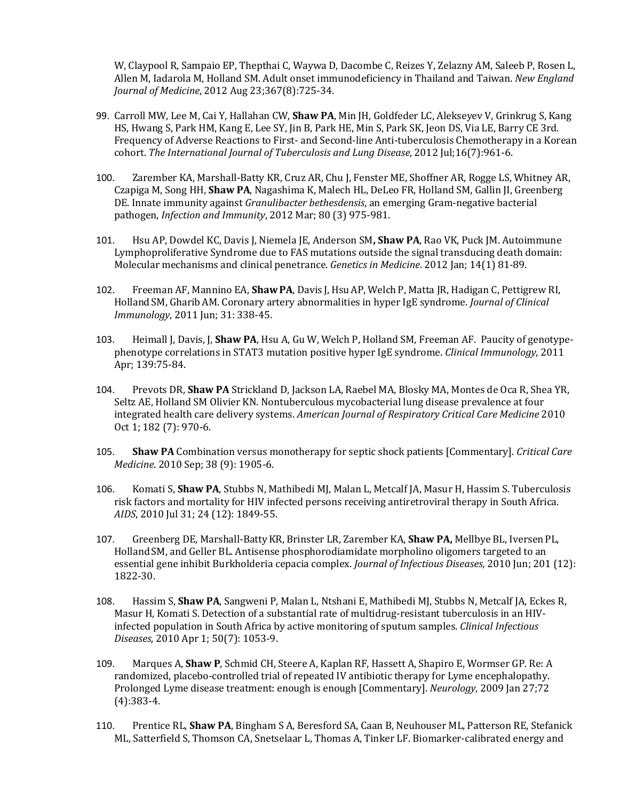W, Claypool R, Sampaio EP, Thepthai C, Waywa D, Dacombe C, Reizes Y, Zelazny AM, Saleeb P, Rosen L, Allen M, Iadarola M, Holland SM. Adult onset immunodeficiency in Thailand and Taiwan. *New England Journal of Medicine*, 2012 Aug 23;367(8):725-34.

- 99. Carroll MW, Lee M, Cai Y, Hallahan CW, **Shaw PA**, Min JH, Goldfeder LC, Alekseyev V, Grinkrug S, Kang HS, Hwang S, Park HM, Kang E, Lee SY, Jin B, Park HE, Min S, Park SK, Jeon DS, Via LE, Barry CE 3rd. Frequency of Adverse Reactions to First- and Second-line Anti-tuberculosis Chemotherapy in a Korean cohort. *The International Journal of Tuberculosis and Lung Disease*, 2012 Jul;16(7):961-6.
- 100. Zarember KA, Marshall-Batty KR, Cruz AR, Chu J, Fenster ME, Shoffner AR, Rogge LS, Whitney AR, Czapiga M, Song HH, **Shaw PA**, Nagashima K, Malech HL, DeLeo FR, Holland SM, Gallin JI, Greenberg DE. Innate immunity against *Granulibacter bethesdensis*, an emerging Gram-negative bacterial pathogen, *Infection and Immunity*, 2012 Mar; 80 (3) 975-981.
- 101. Hsu AP, Dowdel KC, Davis J, Niemela JE, Anderson SM**, Shaw PA**, Rao VK, Puck JM. Autoimmune Lymphoproliferative Syndrome due to FAS mutations outside the signal transducing death domain: Molecular mechanisms and clinical penetrance. *Genetics in Medicine*. 2012 Jan; 14(1) 81-89.
- 102. Freeman AF, Mannino EA, **ShawPA**, Davis J, HsuAP, WelchP, Matta JR, Hadigan C, Pettigrew RI, HollandSM, GharibAM. Coronary artery abnormalities in hyper IgE syndrome. *Journal of Clinical Immunology*, 2011 Jun; 31: 338-45.
- 103. Heimall J, Davis, J, **Shaw PA**, Hsu A, Gu W, Welch P, Holland SM, Freeman AF. Paucity of genotypephenotype correlations in STAT3 mutation positive hyper IgE syndrome. *Clinical Immunology*, 2011 Apr; 139:75-84.
- 104. Prevots DR, **Shaw PA** Strickland D, Jackson LA, Raebel MA, Blosky MA, Montes de Oca R, Shea YR, Seltz AE, Holland SM Olivier KN. Nontuberculous mycobacterial lung disease prevalence at four integrated health care delivery systems. *American Journal of Respiratory Critical Care Medicine* 2010 Oct 1; 182 (7): 970-6.
- 105. **Shaw PA** Combination versus monotherapy for septic shock patients [Commentary]. *Critical Care Medicine*. 2010 Sep; 38 (9): 1905-6.
- 106. Komati S, **Shaw PA**, Stubbs N, Mathibedi MJ, Malan L, Metcalf JA, Masur H, Hassim S. Tuberculosis risk factors and mortality for HIV infected persons receiving antiretroviral therapy in South Africa. *AIDS*, 2010 Jul 31; 24 (12): 1849-55.
- 107. Greenberg DE, Marshall-BattyKR, Brinster LR, Zarember KA, **Shaw PA,** Mellbye BL, IversenPL, HollandSM, and Geller BL. Antisense phosphorodiamidate morpholino oligomers targeted to an essential gene inhibit Burkholderia cepacia complex. *Journal of Infectious Diseases,* 2010 Jun; 201 (12): 1822-30.
- 108. Hassim S, **Shaw PA**, Sangweni P, Malan L, Ntshani E, Mathibedi MJ, Stubbs N, Metcalf JA, Eckes R, Masur H, Komati S. Detection of a substantial rate of multidrug-resistant tuberculosis in an HIVinfected population in South Africa by active monitoring of sputum samples. *Clinical Infectious Diseases,* 2010 Apr 1; 50(7): 1053-9.
- 109. [Marques A,](http://www.ncbi.nlm.nih.gov/pubmed?term=%22Marques%20A%22%5BAuthor%5D) **[Shaw P](http://www.ncbi.nlm.nih.gov/pubmed?term=%22Shaw%20P%22%5BAuthor%5D)**[, Schmid CH,](http://www.ncbi.nlm.nih.gov/pubmed?term=%22Schmid%20CH%22%5BAuthor%5D) [Steere A,](http://www.ncbi.nlm.nih.gov/pubmed?term=%22Steere%20A%22%5BAuthor%5D) [Kaplan RF,](http://www.ncbi.nlm.nih.gov/pubmed?term=%22Kaplan%20RF%22%5BAuthor%5D) [Hassett A,](http://www.ncbi.nlm.nih.gov/pubmed?term=%22Hassett%20A%22%5BAuthor%5D) [Shapiro E,](http://www.ncbi.nlm.nih.gov/pubmed?term=%22Shapiro%20E%22%5BAuthor%5D) [Wormser GP.](http://www.ncbi.nlm.nih.gov/pubmed?term=%22Wormser%20GP%22%5BAuthor%5D) Re: A randomized, placebo-controlled trial of repeated IV antibiotic therapy for Lyme encephalopathy. Prolonged Lyme disease treatment: enough is enough [Commentary]. *Neurology*, 2009 Jan 27;72 (4):383-4.
- 110. Prentice RL, **Shaw PA**, Bingham S A, Beresford SA, Caan B, Neuhouser ML, Patterson RE, Stefanick ML, Satterfield S, Thomson CA, Snetselaar L, Thomas A, Tinker LF. Biomarker-calibrated energy and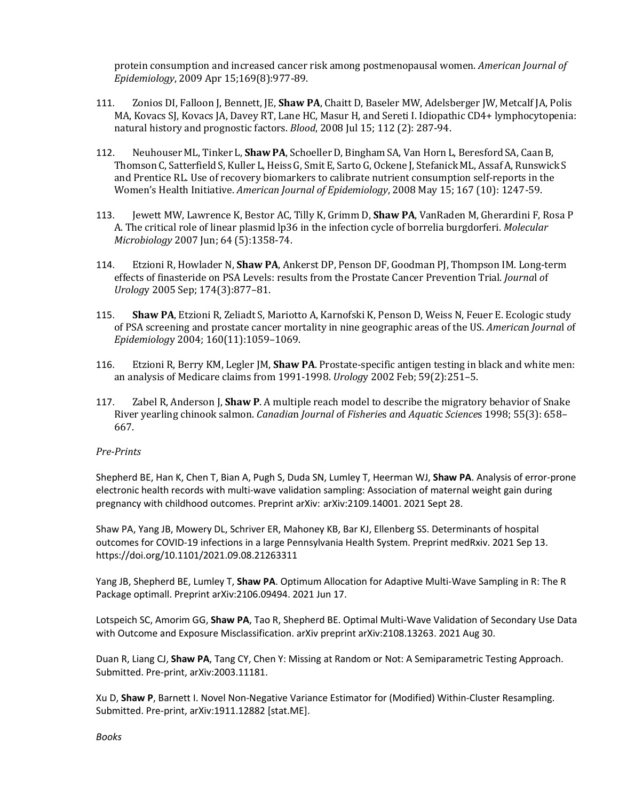protein consumption and increased cancer risk among postmenopausal women. *American Journal of Epidemiology*, 2009 Apr 15;169(8):977-89.

- 111. Zonios DI, Falloon J, Bennett, JE, **Shaw PA**, Chaitt D, Baseler MW, Adelsberger JW, Metcalf JA, Polis MA, Kovacs SJ, Kovacs JA, Davey RT, Lane HC, Masur H, and Sereti I. Idiopathic CD4+ lymphocytopenia: natural history and prognostic factors. *Blood*, 2008 Jul 15; 112 (2): 287-94.
- 112. NeuhouserML, Tinker L, **ShawPA**, SchoellerD, Bingham SA, Van Horn L, Beresford SA, CaanB, ThomsonC, SatterfieldS, Kuller L, HeissG, SmitE, SartoG, Ockene J, StefanickML, AssafA, Runswick S and Prentice RL. Use of recovery biomarkers to calibrate nutrient consumption self-reports in the Women's Health Initiative. *American Journal of Epidemiology*, 2008 May 15; 167 (10): 1247-59.
- 113. Jewett MW, Lawrence K, Bestor AC, Tilly K, Grimm D, **Shaw PA**, VanRaden M, Gherardini F, Rosa P A. The critical role of linear plasmid lp36 in the infection cycle of borrelia burgdorferi. *Molecular Microbiology* 2007 Jun; 64 (5):1358-74.
- 114. Etzioni R, Howlader N, **Shaw PA**, Ankerst DP, Penson DF, Goodman PJ, Thompson IM. Long-term effects of finasteride on PSA Levels: results from the Prostate Cancer Prevention Trial. *Journa*l *o*f *Urolog*y 2005 Sep; 174(3):877–81.
- 115. **Shaw PA**, Etzioni R, Zeliadt S, Mariotto A, Karnofski K, Penson D, Weiss N, Feuer E. Ecologic study of PSA screening and prostate cancer mortality in nine geographic areas of the US. *America*n *Journa*l *o*f *Epidemiolog*y 2004; 160(11):1059–1069.
- 116. Etzioni R, Berry KM, Legler JM, **Shaw PA**. Prostate-specific antigen testing in black and white men: an analysis of Medicare claims from 1991-1998. *Urolog*y 2002 Feb; 59(2):251–5.
- 117. Zabel R, Anderson J, **Shaw P**. A multiple reach model to describe the migratory behavior of Snake River yearling chinook salmon. *Canadia*n *Journal o*f *Fisherie*s *an*d *Aquati*c *Science*s 1998; 55(3): 658– 667.

# *Pre-Prints*

Shepherd BE, Han K, Chen T, Bian A, Pugh S, Duda SN, Lumley T, Heerman WJ, **Shaw PA**. Analysis of error-prone electronic health records with multi-wave validation sampling: Association of maternal weight gain during pregnancy with childhood outcomes. Preprint arXiv: arXiv:2109.14001. 2021 Sept 28.

Shaw PA, Yang JB, Mowery DL, Schriver ER, Mahoney KB, Bar KJ, Ellenberg SS. Determinants of hospital outcomes for COVID-19 infections in a large Pennsylvania Health System. Preprint medRxiv. 2021 Sep 13. https://doi.org/10.1101/2021.09.08.21263311

Yang JB, Shepherd BE, Lumley T, **Shaw PA**. Optimum Allocation for Adaptive Multi-Wave Sampling in R: The R Package optimall. Preprint arXiv:2106.09494. 2021 Jun 17.

Lotspeich SC, Amorim GG, **Shaw PA**, Tao R, Shepherd BE. Optimal Multi-Wave Validation of Secondary Use Data with Outcome and Exposure Misclassification. arXiv preprint arXiv:2108.13263. 2021 Aug 30.

Duan R, Liang CJ, **Shaw PA**, Tang CY, Chen Y: Missing at Random or Not: A Semiparametric Testing Approach. Submitted. Pre-print, arXiv:2003.11181.

Xu D, **Shaw P**, Barnett I. Novel Non-Negative Variance Estimator for (Modified) Within-Cluster Resampling. Submitted. Pre-print, arXiv:1911.12882 [stat.ME].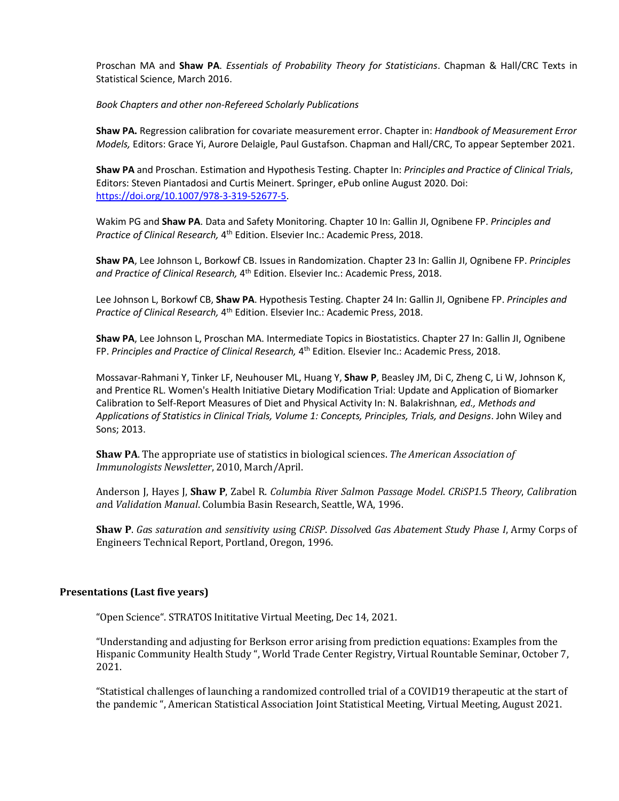Proschan MA and **Shaw PA**. *Essentials of Probability Theory for Statisticians*. Chapman & Hall/CRC Texts in Statistical Science, March 2016.

*Book Chapters and other non-Refereed Scholarly Publications* 

**Shaw PA.** Regression calibration for covariate measurement error. Chapter in: *Handbook of Measurement Error Models,* Editors: Grace Yi, Aurore Delaigle, Paul Gustafson. Chapman and Hall/CRC, To appear September 2021.

**Shaw PA** and Proschan. Estimation and Hypothesis Testing. Chapter In: *Principles and Practice of Clinical Trials*, Editors: Steven Piantadosi and Curtis Meinert. Springer, ePub online August 2020. Doi: [https://doi.org/10.1007/978-3-319-52677-5.](https://doi.org/10.1007/978-3-319-52677-5)

Wakim PG and **Shaw PA**. Data and Safety Monitoring. Chapter 10 In: Gallin JI, Ognibene FP. *Principles and Practice of Clinical Research,* 4th Edition. Elsevier Inc.: Academic Press, 2018.

**Shaw PA**, Lee Johnson L, Borkowf CB. Issues in Randomization. Chapter 23 In: Gallin JI, Ognibene FP. *Principles and Practice of Clinical Research,* 4th Edition. Elsevier Inc.: Academic Press, 2018.

Lee Johnson L, Borkowf CB, **Shaw PA**. Hypothesis Testing. Chapter 24 In: Gallin JI, Ognibene FP. *Principles and Practice of Clinical Research,* 4th Edition. Elsevier Inc.: Academic Press, 2018.

**Shaw PA**, Lee Johnson L, Proschan MA. Intermediate Topics in Biostatistics. Chapter 27 In: Gallin JI, Ognibene FP. *Principles and Practice of Clinical Research,* 4th Edition. Elsevier Inc.: Academic Press, 2018.

Mossavar-Rahmani Y, Tinker LF, Neuhouser ML, Huang Y, **Shaw P**, Beasley JM, Di C, Zheng C, Li W, Johnson K, and Prentice RL. Women's Health Initiative Dietary Modification Trial: Update and Application of Biomarker Calibration to Self-Report Measures of Diet and Physical Activity In: N. Balakrishnan*, ed., Methods and Applications of Statistics in Clinical Trials, Volume 1: Concepts, Principles, Trials, and Designs*. John Wiley and Sons; 2013.

**Shaw PA**. The appropriate use of statistics in biological sciences. *The American Association of Immunologists Newsletter*, 2010, March/April.

Anderson J, Hayes J, **Shaw P**, Zabel R. *Columbi*a *Rive*r *Salmo*n *Passag*e *Model*. *CRiSP1.*5 *Theory*, *Calibratio*n *an*d *Validatio*n *Manual*. Columbia Basin Research, Seattle, WA, 1996.

**Shaw P**. *Ga*s *saturatio*n *an*d *sensitivit*y *usin*g *CRiSP*. *Dissolve*d *Ga*s *Abatemen*t *Stud*y *Phas*e *I*, Army Corps of Engineers Technical Report, Portland, Oregon, 1996.

## **Presentations (Last five years)**

"Open Science". STRATOS Inititative Virtual Meeting, Dec 14, 2021.

"Understanding and adjusting for Berkson error arising from prediction equations: Examples from the Hispanic Community Health Study ", World Trade Center Registry, Virtual Rountable Seminar, October 7, 2021.

"Statistical challenges of launching a randomized controlled trial of a COVID19 therapeutic at the start of the pandemic ", American Statistical Association Joint Statistical Meeting, Virtual Meeting, August 2021.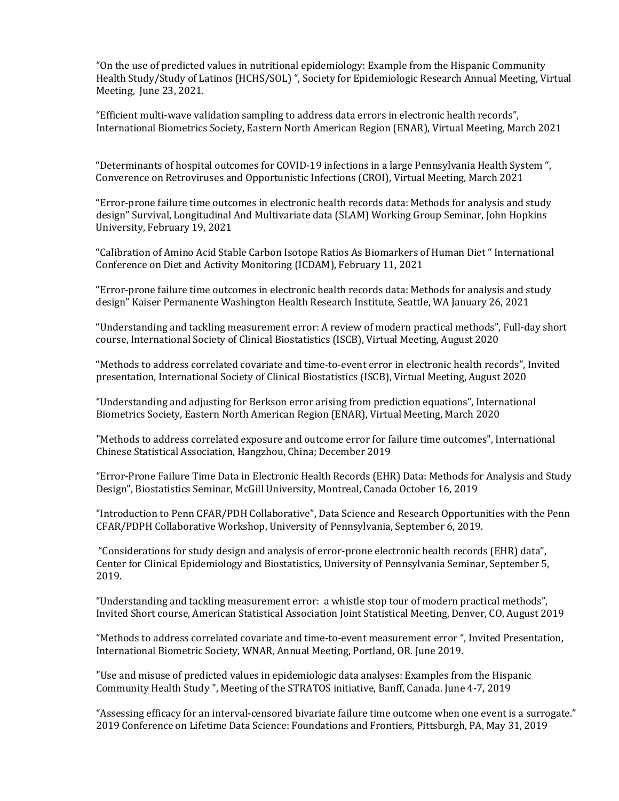"On the use of predicted values in nutritional epidemiology: Example from the Hispanic Community Health Study/Study of Latinos (HCHS/SOL) ", Society for Epidemiologic Research Annual Meeting, Virtual Meeting, June 23, 2021.

"Efficient multi-wave validation sampling to address data errors in electronic health records", International Biometrics Society, Eastern North American Region (ENAR), Virtual Meeting, March 2021

"Determinants of hospital outcomes for COVID-19 infections in a large Pennsylvania Health System ", Converence on Retroviruses and Opportunistic Infections (CROI), Virtual Meeting, March 2021

"Error-prone failure time outcomes in electronic health records data: Methods for analysis and study design" Survival, Longitudinal And Multivariate data (SLAM) Working Group Seminar, John Hopkins University, February 19, 2021

"Calibration of Amino Acid Stable Carbon Isotope Ratios As Biomarkers of Human Diet " International Conference on Diet and Activity Monitoring (ICDAM), February 11, 2021

"Error-prone failure time outcomes in electronic health records data: Methods for analysis and study design" Kaiser Permanente Washington Health Research Institute, Seattle, WA January 26, 2021

"Understanding and tackling measurement error: A review of modern practical methods", Full-day short course, International Society of Clinical Biostatistics (ISCB), Virtual Meeting, August 2020

"Methods to address correlated covariate and time-to-event error in electronic health records", Invited presentation, International Society of Clinical Biostatistics (ISCB), Virtual Meeting, August 2020

"Understanding and adjusting for Berkson error arising from prediction equations", International Biometrics Society, Eastern North American Region (ENAR), Virtual Meeting, March 2020

"Methods to address correlated exposure and outcome error for failure time outcomes", International Chinese Statistical Association, Hangzhou, China; December 2019

"Error-Prone Failure Time Data in Electronic Health Records (EHR) Data: Methods for Analysis and Study Design", Biostatistics Seminar, McGill University, Montreal, Canada October 16, 2019

"Introduction to Penn CFAR/PDH Collaborative", Data Science and Research Opportunities with the Penn CFAR/PDPH Collaborative Workshop, University of Pennsylvania, September 6, 2019.

"Considerations for study design and analysis of error-prone electronic health records (EHR) data", Center for Clinical Epidemiology and Biostatistics, University of Pennsylvania Seminar, September 5, 2019.

"Understanding and tackling measurement error: a whistle stop tour of modern practical methods", Invited Short course, American Statistical Association Joint Statistical Meeting, Denver, CO, August 2019

"Methods to address correlated covariate and time-to-event measurement error ", Invited Presentation, International Biometric Society, WNAR, Annual Meeting, Portland, OR. June 2019.

"Use and misuse of predicted values in epidemiologic data analyses: Examples from the Hispanic Community Health Study ", Meeting of the STRATOS initiative, Banff, Canada. June 4-7, 2019

"Assessing efficacy for an interval-censored bivariate failure time outcome when one event is a surrogate." 2019 Conference on Lifetime Data Science: Foundations and Frontiers, Pittsburgh, PA, May 31, 2019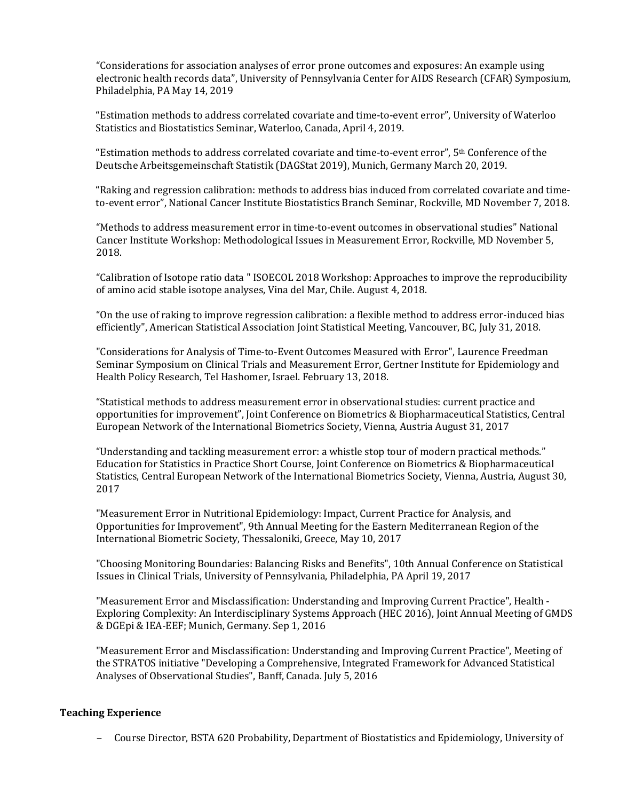"Considerations for association analyses of error prone outcomes and exposures: An example using electronic health records data", University of Pennsylvania Center for AIDS Research (CFAR) Symposium, Philadelphia, PA May 14, 2019

"Estimation methods to address correlated covariate and time-to-event error", University of Waterloo Statistics and Biostatistics Seminar, Waterloo, Canada, April 4, 2019.

"Estimation methods to address correlated covariate and time-to-event error", 5th Conference of the Deutsche Arbeitsgemeinschaft Statistik (DAGStat 2019), Munich, Germany March 20, 2019.

"Raking and regression calibration: methods to address bias induced from correlated covariate and timeto-event error", National Cancer Institute Biostatistics Branch Seminar, Rockville, MD November 7, 2018.

"Methods to address measurement error in time-to-event outcomes in observational studies" National Cancer Institute Workshop: Methodological Issues in Measurement Error, Rockville, MD November 5, 2018.

"Calibration of Isotope ratio data " ISOECOL 2018 Workshop: Approaches to improve the reproducibility of amino acid stable isotope analyses, Vina del Mar, Chile. August 4, 2018.

"On the use of raking to improve regression calibration: a flexible method to address error-induced bias efficiently", American Statistical Association Joint Statistical Meeting, Vancouver, BC, July 31, 2018.

"Considerations for Analysis of Time-to-Event Outcomes Measured with Error", Laurence Freedman Seminar Symposium on Clinical Trials and Measurement Error, Gertner Institute for Epidemiology and Health Policy Research, Tel Hashomer, Israel. February 13, 2018.

"Statistical methods to address measurement error in observational studies: current practice and opportunities for improvement", Joint Conference on Biometrics & Biopharmaceutical Statistics, Central European Network of the International Biometrics Society, Vienna, Austria August 31, 2017

"Understanding and tackling measurement error: a whistle stop tour of modern practical methods." Education for Statistics in Practice Short Course, Joint Conference on Biometrics & Biopharmaceutical Statistics, Central European Network of the International Biometrics Society, Vienna, Austria, August 30, 2017

"Measurement Error in Nutritional Epidemiology: Impact, Current Practice for Analysis, and Opportunities for Improvement", 9th Annual Meeting for the Eastern Mediterranean Region of the International Biometric Society, Thessaloniki, Greece, May 10, 2017

"Choosing Monitoring Boundaries: Balancing Risks and Benefits", 10th Annual Conference on Statistical Issues in Clinical Trials, University of Pennsylvania, Philadelphia, PA April 19, 2017

"Measurement Error and Misclassification: Understanding and Improving Current Practice", Health - Exploring Complexity: An Interdisciplinary Systems Approach (HEC 2016), Joint Annual Meeting of GMDS & DGEpi & IEA-EEF; Munich, Germany. Sep 1, 2016

"Measurement Error and Misclassification: Understanding and Improving Current Practice", Meeting of the STRATOS initiative "Developing a Comprehensive, Integrated Framework for Advanced Statistical Analyses of Observational Studies", Banff, Canada. July 5, 2016

# **Teaching Experience**

– Course Director, BSTA 620 Probability, Department of Biostatistics and Epidemiology, University of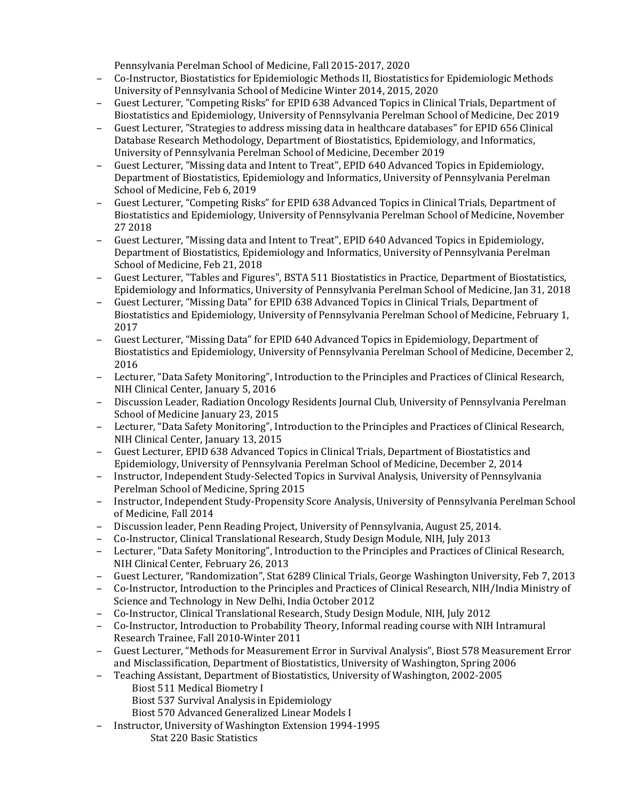Pennsylvania Perelman School of Medicine, Fall 2015-2017, 2020

- Co-Instructor, Biostatistics for Epidemiologic Methods II, Biostatistics for Epidemiologic Methods University of Pennsylvania School of Medicine Winter 2014, 2015, 2020
- Guest Lecturer, "Competing Risks" for EPID 638 Advanced Topics in Clinical Trials, Department of Biostatistics and Epidemiology, University of Pennsylvania Perelman School of Medicine, Dec 2019
- Guest Lecturer, "Strategies to address missing data in healthcare databases" for EPID 656 Clinical Database Research Methodology, Department of Biostatistics, Epidemiology, and Informatics, University of Pennsylvania Perelman School of Medicine, December 2019
- Guest Lecturer, "Missing data and Intent to Treat", EPID 640 Advanced Topics in Epidemiology, Department of Biostatistics, Epidemiology and Informatics, University of Pennsylvania Perelman School of Medicine, Feb 6, 2019
- Guest Lecturer, "Competing Risks" for EPID 638 Advanced Topics in Clinical Trials, Department of Biostatistics and Epidemiology, University of Pennsylvania Perelman School of Medicine, November 27 2018
- Guest Lecturer, "Missing data and Intent to Treat", EPID 640 Advanced Topics in Epidemiology, Department of Biostatistics, Epidemiology and Informatics, University of Pennsylvania Perelman School of Medicine, Feb 21, 2018
- Guest Lecturer, "Tables and Figures", BSTA 511 Biostatistics in Practice, Department of Biostatistics, Epidemiology and Informatics, University of Pennsylvania Perelman School of Medicine, Jan 31, 2018
- Guest Lecturer, "Missing Data" for EPID 638 Advanced Topics in Clinical Trials, Department of Biostatistics and Epidemiology, University of Pennsylvania Perelman School of Medicine, February 1, 2017
- Guest Lecturer, "Missing Data" for EPID 640 Advanced Topics in Epidemiology, Department of Biostatistics and Epidemiology, University of Pennsylvania Perelman School of Medicine, December 2, 2016
- Lecturer, "Data Safety Monitoring", Introduction to the Principles and Practices of Clinical Research, NIH Clinical Center, January 5, 2016
- Discussion Leader, Radiation Oncology Residents Journal Club, University of Pennsylvania Perelman School of Medicine January 23, 2015
- Lecturer, "Data Safety Monitoring", Introduction to the Principles and Practices of Clinical Research, NIH Clinical Center, January 13, 2015
- Guest Lecturer, EPID 638 Advanced Topics in Clinical Trials, Department of Biostatistics and Epidemiology, University of Pennsylvania Perelman School of Medicine, December 2, 2014
- Instructor, Independent Study-Selected Topics in Survival Analysis, University of Pennsylvania Perelman School of Medicine, Spring 2015
- Instructor, Independent Study-Propensity Score Analysis, University of Pennsylvania Perelman School of Medicine, Fall 2014
- Discussion leader, Penn Reading Project, University of Pennsylvania, August 25, 2014.
- Co-Instructor, Clinical Translational Research, Study Design Module, NIH, July 2013
- Lecturer, "Data Safety Monitoring", Introduction to the Principles and Practices of Clinical Research, NIH Clinical Center, February 26, 2013
- Guest Lecturer, "Randomization", Stat 6289 Clinical Trials, George Washington University, Feb 7, 2013
- Co-Instructor, Introduction to the Principles and Practices of Clinical Research, NIH/India Ministry of Science and Technology in New Delhi, India October 2012
- Co-Instructor, Clinical Translational Research, Study Design Module, NIH, July 2012
- Co-Instructor, Introduction to Probability Theory, Informal reading course with NIH Intramural Research Trainee, Fall 2010-Winter 2011
- Guest Lecturer, "Methods for Measurement Error in Survival Analysis", Biost 578 Measurement Error and Misclassification, Department of Biostatistics, University of Washington, Spring 2006
- Teaching Assistant, Department of Biostatistics, University of Washington, 2002-2005
	- Biost 511 Medical Biometry I
	- Biost 537 Survival Analysis in Epidemiology
	- Biost 570 Advanced Generalized Linear Models I
- Instructor, University of Washington Extension 1994-1995
	- Stat 220 Basic Statistics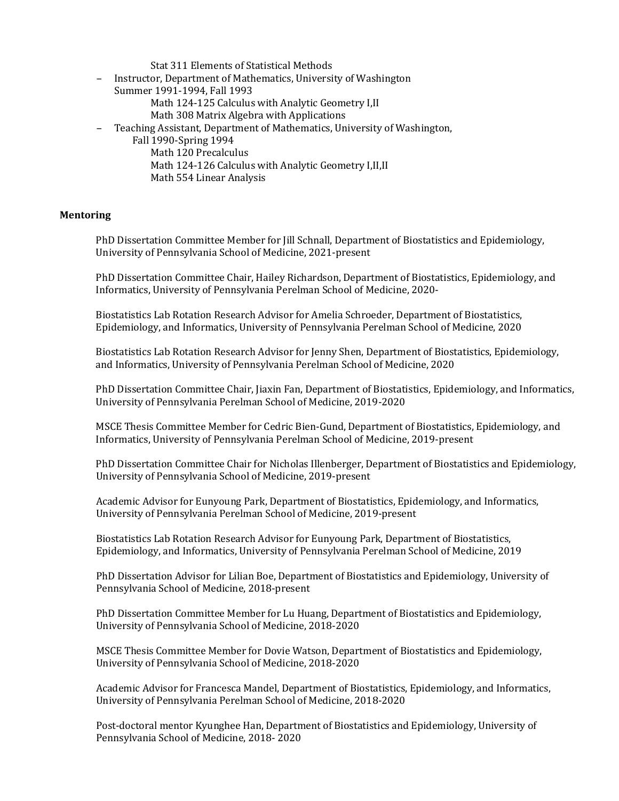Stat 311 Elements of Statistical Methods

- Instructor, Department of Mathematics, University of Washington Summer 1991-1994, Fall 1993 Math 124-125 Calculus with Analytic Geometry I,II
	- Math 308 Matrix Algebra with Applications
	- Teaching Assistant, Department of Mathematics, University of Washington,
	- Fall 1990-Spring 1994
		- Math 120 Precalculus Math 124-126 Calculus with Analytic Geometry I,II,II Math 554 Linear Analysis

## **Mentoring**

PhD Dissertation Committee Member for Jill Schnall, Department of Biostatistics and Epidemiology, University of Pennsylvania School of Medicine, 2021-present

PhD Dissertation Committee Chair, Hailey Richardson, Department of Biostatistics, Epidemiology, and Informatics, University of Pennsylvania Perelman School of Medicine, 2020-

Biostatistics Lab Rotation Research Advisor for Amelia Schroeder, Department of Biostatistics, Epidemiology, and Informatics, University of Pennsylvania Perelman School of Medicine, 2020

Biostatistics Lab Rotation Research Advisor for Jenny Shen, Department of Biostatistics, Epidemiology, and Informatics, University of Pennsylvania Perelman School of Medicine, 2020

PhD Dissertation Committee Chair, Jiaxin Fan, Department of Biostatistics, Epidemiology, and Informatics, University of Pennsylvania Perelman School of Medicine, 2019-2020

MSCE Thesis Committee Member for Cedric Bien-Gund, Department of Biostatistics, Epidemiology, and Informatics, University of Pennsylvania Perelman School of Medicine, 2019-present

PhD Dissertation Committee Chair for Nicholas Illenberger, Department of Biostatistics and Epidemiology, University of Pennsylvania School of Medicine, 2019-present

Academic Advisor for Eunyoung Park, Department of Biostatistics, Epidemiology, and Informatics, University of Pennsylvania Perelman School of Medicine, 2019-present

Biostatistics Lab Rotation Research Advisor for Eunyoung Park, Department of Biostatistics, Epidemiology, and Informatics, University of Pennsylvania Perelman School of Medicine, 2019

PhD Dissertation Advisor for Lilian Boe, Department of Biostatistics and Epidemiology, University of Pennsylvania School of Medicine, 2018-present

PhD Dissertation Committee Member for Lu Huang, Department of Biostatistics and Epidemiology, University of Pennsylvania School of Medicine, 2018-2020

MSCE Thesis Committee Member for Dovie Watson, Department of Biostatistics and Epidemiology, University of Pennsylvania School of Medicine, 2018-2020

Academic Advisor for Francesca Mandel, Department of Biostatistics, Epidemiology, and Informatics, University of Pennsylvania Perelman School of Medicine, 2018-2020

Post-doctoral mentor Kyunghee Han, Department of Biostatistics and Epidemiology, University of Pennsylvania School of Medicine, 2018- 2020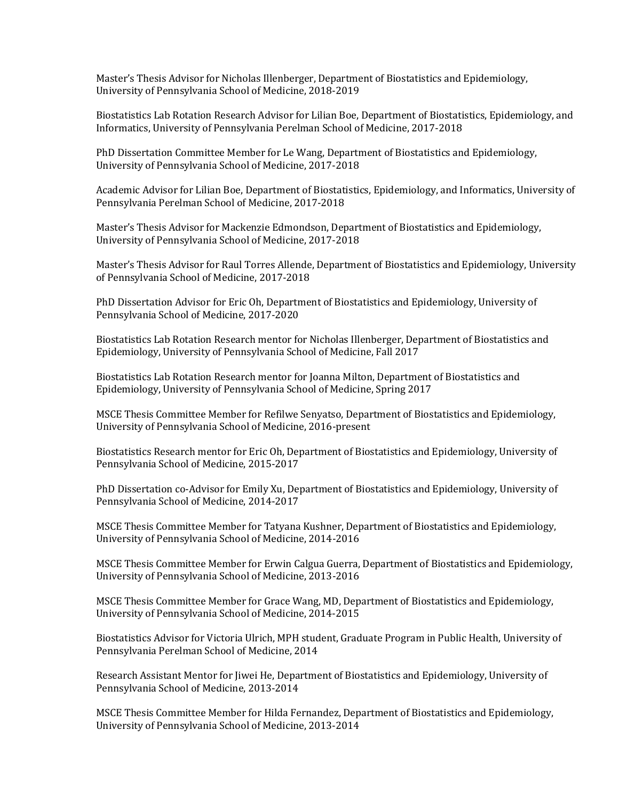Master's Thesis Advisor for Nicholas Illenberger, Department of Biostatistics and Epidemiology, University of Pennsylvania School of Medicine, 2018-2019

Biostatistics Lab Rotation Research Advisor for Lilian Boe, Department of Biostatistics, Epidemiology, and Informatics, University of Pennsylvania Perelman School of Medicine, 2017-2018

PhD Dissertation Committee Member for Le Wang, Department of Biostatistics and Epidemiology, University of Pennsylvania School of Medicine, 2017-2018

Academic Advisor for Lilian Boe, Department of Biostatistics, Epidemiology, and Informatics, University of Pennsylvania Perelman School of Medicine, 2017-2018

Master's Thesis Advisor for Mackenzie Edmondson, Department of Biostatistics and Epidemiology, University of Pennsylvania School of Medicine, 2017-2018

Master's Thesis Advisor for Raul Torres Allende, Department of Biostatistics and Epidemiology, University of Pennsylvania School of Medicine, 2017-2018

PhD Dissertation Advisor for Eric Oh, Department of Biostatistics and Epidemiology, University of Pennsylvania School of Medicine, 2017-2020

Biostatistics Lab Rotation Research mentor for Nicholas Illenberger, Department of Biostatistics and Epidemiology, University of Pennsylvania School of Medicine, Fall 2017

Biostatistics Lab Rotation Research mentor for Joanna Milton, Department of Biostatistics and Epidemiology, University of Pennsylvania School of Medicine, Spring 2017

MSCE Thesis Committee Member for Refilwe Senyatso, Department of Biostatistics and Epidemiology, University of Pennsylvania School of Medicine, 2016-present

Biostatistics Research mentor for Eric Oh, Department of Biostatistics and Epidemiology, University of Pennsylvania School of Medicine, 2015-2017

PhD Dissertation co-Advisor for Emily Xu, Department of Biostatistics and Epidemiology, University of Pennsylvania School of Medicine, 2014-2017

MSCE Thesis Committee Member for Tatyana Kushner, Department of Biostatistics and Epidemiology, University of Pennsylvania School of Medicine, 2014-2016

MSCE Thesis Committee Member for Erwin Calgua Guerra, Department of Biostatistics and Epidemiology, University of Pennsylvania School of Medicine, 2013-2016

MSCE Thesis Committee Member for Grace Wang, MD, Department of Biostatistics and Epidemiology, University of Pennsylvania School of Medicine, 2014-2015

Biostatistics Advisor for Victoria Ulrich, MPH student, Graduate Program in Public Health, University of Pennsylvania Perelman School of Medicine, 2014

Research Assistant Mentor for Jiwei He, Department of Biostatistics and Epidemiology, University of Pennsylvania School of Medicine, 2013-2014

MSCE Thesis Committee Member for Hilda Fernandez, Department of Biostatistics and Epidemiology, University of Pennsylvania School of Medicine, 2013-2014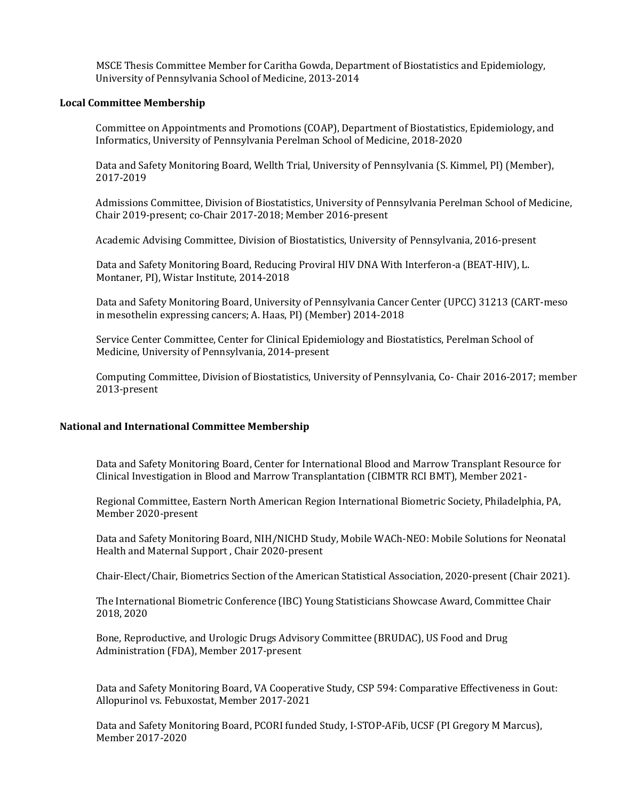MSCE Thesis Committee Member for Caritha Gowda, Department of Biostatistics and Epidemiology, University of Pennsylvania School of Medicine, 2013-2014

## **Local Committee Membership**

Committee on Appointments and Promotions (COAP), Department of Biostatistics, Epidemiology, and Informatics, University of Pennsylvania Perelman School of Medicine, 2018-2020

Data and Safety Monitoring Board, Wellth Trial, University of Pennsylvania (S. Kimmel, PI) (Member), 2017-2019

Admissions Committee, Division of Biostatistics, University of Pennsylvania Perelman School of Medicine, Chair 2019-present; co-Chair 2017-2018; Member 2016-present

Academic Advising Committee, Division of Biostatistics, University of Pennsylvania, 2016-present

Data and Safety Monitoring Board, Reducing Proviral HIV DNA With Interferon-a (BEAT-HIV), L. Montaner, PI), Wistar Institute, 2014-2018

Data and Safety Monitoring Board, University of Pennsylvania Cancer Center (UPCC) 31213 (CART-meso in mesothelin expressing cancers; A. Haas, PI) (Member) 2014-2018

Service Center Committee, Center for Clinical Epidemiology and Biostatistics, Perelman School of Medicine, University of Pennsylvania, 2014-present

Computing Committee, Division of Biostatistics, University of Pennsylvania, Co- Chair 2016-2017; member 2013-present

## **National and International Committee Membership**

Data and Safety Monitoring Board, Center for International Blood and Marrow Transplant Resource for Clinical Investigation in Blood and Marrow Transplantation (CIBMTR RCI BMT), Member 2021-

Regional Committee, Eastern North American Region International Biometric Society, Philadelphia, PA, Member 2020-present

Data and Safety Monitoring Board, NIH/NICHD Study, Mobile WACh-NEO: Mobile Solutions for Neonatal Health and Maternal Support , Chair 2020-present

Chair-Elect/Chair, Biometrics Section of the American Statistical Association, 2020-present (Chair 2021).

The International Biometric Conference (IBC) Young Statisticians Showcase Award, Committee Chair 2018, 2020

Bone, Reproductive, and Urologic Drugs Advisory Committee (BRUDAC), US Food and Drug Administration (FDA), Member 2017-present

Data and Safety Monitoring Board, VA Cooperative Study, CSP 594: Comparative Effectiveness in Gout: Allopurinol vs. Febuxostat, Member 2017-2021

Data and Safety Monitoring Board, PCORI funded Study, I-STOP-AFib, UCSF (PI Gregory M Marcus), Member 2017-2020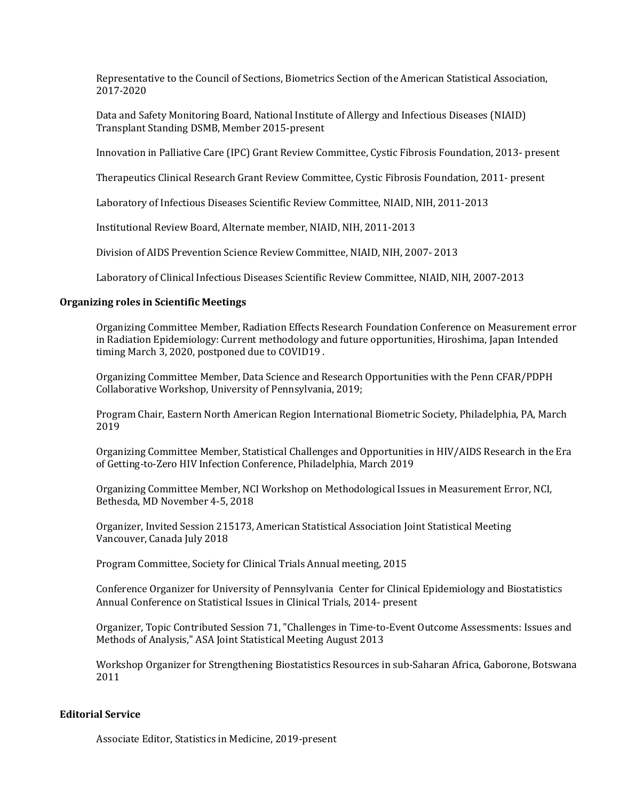Representative to the Council of Sections, Biometrics Section of the American Statistical Association, 2017-2020

Data and Safety Monitoring Board, National Institute of Allergy and Infectious Diseases (NIAID) Transplant Standing DSMB, Member 2015-present

Innovation in Palliative Care (IPC) Grant Review Committee, Cystic Fibrosis Foundation, 2013- present

Therapeutics Clinical Research Grant Review Committee, Cystic Fibrosis Foundation, 2011- present

Laboratory of Infectious Diseases Scientific Review Committee, NIAID, NIH, 2011-2013

Institutional Review Board, Alternate member, NIAID, NIH, 2011-2013

Division of AIDS Prevention Science Review Committee, NIAID, NIH, 2007- 2013

Laboratory of Clinical Infectious Diseases Scientific Review Committee, NIAID, NIH, 2007-2013

# **Organizing roles in Scientific Meetings**

Organizing Committee Member, Radiation Effects Research Foundation Conference on Measurement error in Radiation Epidemiology: Current methodology and future opportunities, Hiroshima, Japan Intended timing March 3, 2020, postponed due to COVID19 .

Organizing Committee Member, Data Science and Research Opportunities with the Penn CFAR/PDPH Collaborative Workshop, University of Pennsylvania, 2019;

Program Chair, Eastern North American Region International Biometric Society, Philadelphia, PA, March 2019

Organizing Committee Member, Statistical Challenges and Opportunities in HIV/AIDS Research in the Era of Getting-to-Zero HIV Infection Conference, Philadelphia, March 2019

Organizing Committee Member, NCI Workshop on Methodological Issues in Measurement Error, NCI, Bethesda, MD November 4-5, 2018

Organizer, Invited Session 215173, American Statistical Association Joint Statistical Meeting Vancouver, Canada July 2018

Program Committee, Society for Clinical Trials Annual meeting, 2015

Conference Organizer for University of Pennsylvania Center for Clinical Epidemiology and Biostatistics Annual Conference on Statistical Issues in Clinical Trials, 2014- present

Organizer, Topic Contributed Session 71, "Challenges in Time-to-Event Outcome Assessments: Issues and Methods of Analysis," ASA Joint Statistical Meeting August 2013

Workshop Organizer for Strengthening Biostatistics Resources in sub-Saharan Africa, Gaborone, Botswana 2011

# **Editorial Service**

Associate Editor, Statistics in Medicine, 2019-present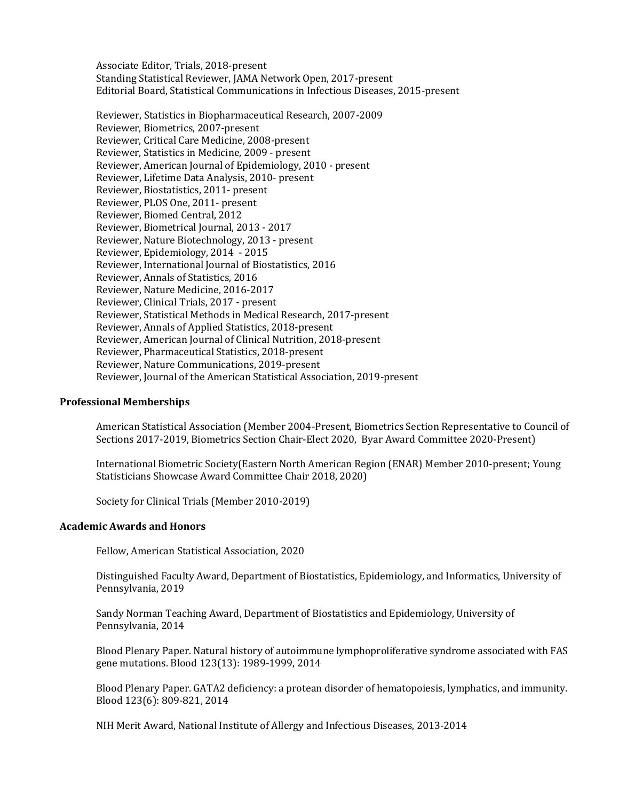Associate Editor, Trials, 2018-present Standing Statistical Reviewer, JAMA Network Open, 2017-present Editorial Board, Statistical Communications in Infectious Diseases, 2015-present

 Reviewer, Statistics in Biopharmaceutical Research, 2007-2009 Reviewer, Biometrics, 2007-present Reviewer, Critical Care Medicine, 2008-present Reviewer, Statistics in Medicine, 2009 - present Reviewer, American Journal of Epidemiology, 2010 - present Reviewer, Lifetime Data Analysis, 2010- present Reviewer, Biostatistics, 2011- present Reviewer, PLOS One, 2011- present Reviewer, Biomed Central, 2012 Reviewer, Biometrical Journal, 2013 - 2017 Reviewer, Nature Biotechnology, 2013 - present Reviewer, Epidemiology, 2014 - 2015 Reviewer, International Journal of Biostatistics, 2016 Reviewer, Annals of Statistics, 2016 Reviewer, Nature Medicine, 2016-2017 Reviewer, Clinical Trials, 2017 - present Reviewer, Statistical Methods in Medical Research, 2017-present Reviewer, Annals of Applied Statistics, 2018-present Reviewer, American Journal of Clinical Nutrition, 2018-present Reviewer, Pharmaceutical Statistics, 2018-present Reviewer, Nature Communications, 2019-present Reviewer, Journal of the American Statistical Association, 2019-present

#### **Professional Memberships**

American Statistical Association (Member 2004-Present, Biometrics Section Representative to Council of Sections 2017-2019, Biometrics Section Chair-Elect 2020, Byar Award Committee 2020-Present)

International Biometric Society(Eastern North American Region (ENAR) Member 2010-present; Young Statisticians Showcase Award Committee Chair 2018, 2020)

Society for Clinical Trials (Member 2010-2019)

#### **Academic Awards and Honors**

Fellow, American Statistical Association, 2020

Distinguished Faculty Award, Department of Biostatistics, Epidemiology, and Informatics, University of Pennsylvania, 2019

Sandy Norman Teaching Award, Department of Biostatistics and Epidemiology, University of Pennsylvania, 2014

Blood Plenary Paper. Natural history of autoimmune lymphoproliferative syndrome associated with FAS gene mutations. Blood 123(13): 1989-1999, 2014

Blood Plenary Paper. GATA2 deficiency: a protean disorder of hematopoiesis, lymphatics, and immunity. Blood 123(6): 809-821, 2014

NIH Merit Award, National Institute of Allergy and Infectious Diseases, 2013-2014